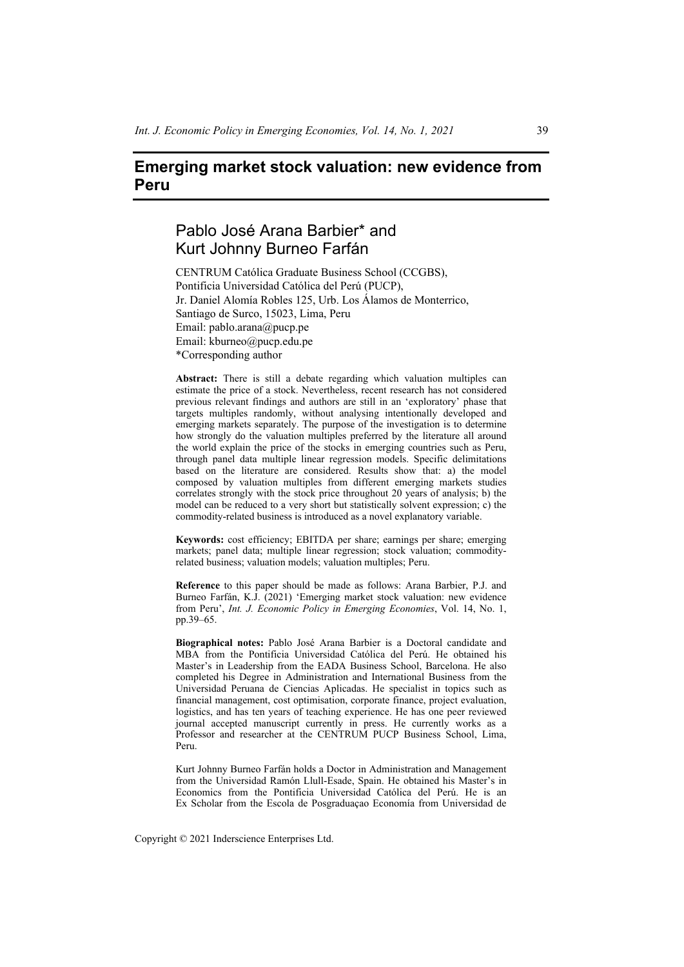# **Emerging market stock valuation: new evidence from Peru**

# Pablo José Arana Barbier\* and Kurt Johnny Burneo Farfán

CENTRUM Católica Graduate Business School (CCGBS), Pontificia Universidad Católica del Perú (PUCP), Jr. Daniel Alomía Robles 125, Urb. Los Álamos de Monterrico, Santiago de Surco, 15023, Lima, Peru Email: pablo.arana@pucp.pe Email: kburneo@pucp.edu.pe \*Corresponding author

**Abstract:** There is still a debate regarding which valuation multiples can estimate the price of a stock. Nevertheless, recent research has not considered previous relevant findings and authors are still in an 'exploratory' phase that targets multiples randomly, without analysing intentionally developed and emerging markets separately. The purpose of the investigation is to determine how strongly do the valuation multiples preferred by the literature all around the world explain the price of the stocks in emerging countries such as Peru, through panel data multiple linear regression models. Specific delimitations based on the literature are considered. Results show that: a) the model composed by valuation multiples from different emerging markets studies correlates strongly with the stock price throughout 20 years of analysis; b) the model can be reduced to a very short but statistically solvent expression; c) the commodity-related business is introduced as a novel explanatory variable.

**Keywords:** cost efficiency; EBITDA per share; earnings per share; emerging markets; panel data; multiple linear regression; stock valuation; commodityrelated business; valuation models; valuation multiples; Peru.

**Reference** to this paper should be made as follows: Arana Barbier, P.J. and Burneo Farfán, K.J. (2021) 'Emerging market stock valuation: new evidence from Peru', *Int. J. Economic Policy in Emerging Economies*, Vol. 14, No. 1, pp.39–65.

**Biographical notes:** Pablo José Arana Barbier is a Doctoral candidate and MBA from the Pontificia Universidad Católica del Perú. He obtained his Master's in Leadership from the EADA Business School, Barcelona. He also completed his Degree in Administration and International Business from the Universidad Peruana de Ciencias Aplicadas. He specialist in topics such as financial management, cost optimisation, corporate finance, project evaluation, logistics, and has ten years of teaching experience. He has one peer reviewed journal accepted manuscript currently in press. He currently works as a Professor and researcher at the CENTRUM PUCP Business School, Lima, Peru.

Kurt Johnny Burneo Farfán holds a Doctor in Administration and Management from the Universidad Ramón Llull-Esade, Spain. He obtained his Master's in Economics from the Pontificia Universidad Católica del Perú. He is an Ex Scholar from the Escola de Posgraduaçao Economía from Universidad de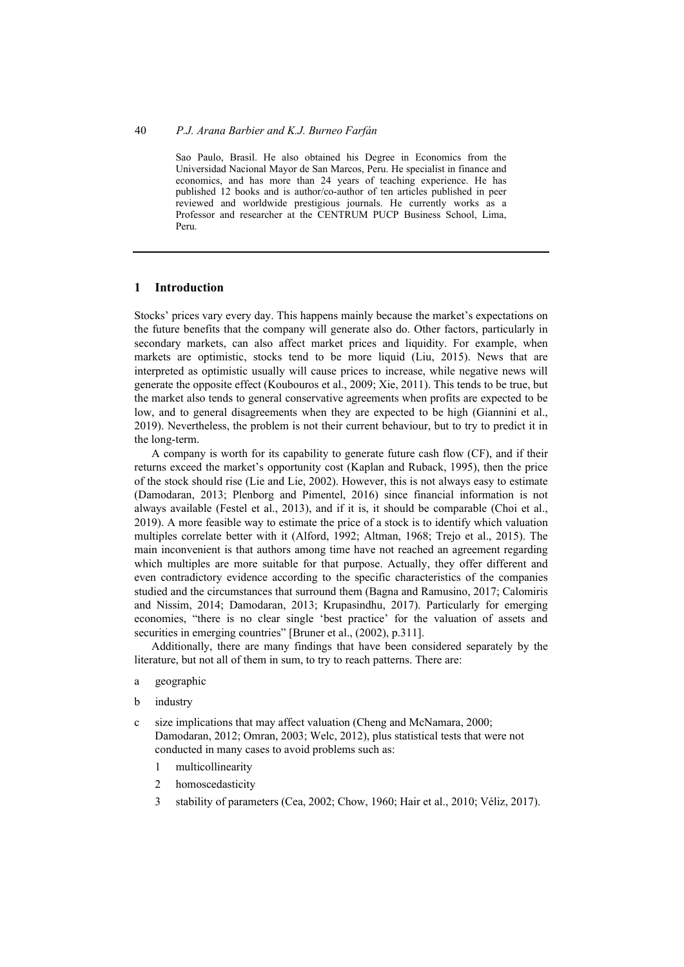Sao Paulo, Brasil. He also obtained his Degree in Economics from the Universidad Nacional Mayor de San Marcos, Peru. He specialist in finance and economics, and has more than 24 years of teaching experience. He has published 12 books and is author/co-author of ten articles published in peer reviewed and worldwide prestigious journals. He currently works as a Professor and researcher at the CENTRUM PUCP Business School, Lima, Peru.

### **1 Introduction**

Stocks' prices vary every day. This happens mainly because the market's expectations on the future benefits that the company will generate also do. Other factors, particularly in secondary markets, can also affect market prices and liquidity. For example, when markets are optimistic, stocks tend to be more liquid (Liu, 2015). News that are interpreted as optimistic usually will cause prices to increase, while negative news will generate the opposite effect (Koubouros et al., 2009; Xie, 2011). This tends to be true, but the market also tends to general conservative agreements when profits are expected to be low, and to general disagreements when they are expected to be high (Giannini et al., 2019). Nevertheless, the problem is not their current behaviour, but to try to predict it in the long-term.

A company is worth for its capability to generate future cash flow (CF), and if their returns exceed the market's opportunity cost (Kaplan and Ruback, 1995), then the price of the stock should rise (Lie and Lie, 2002). However, this is not always easy to estimate (Damodaran, 2013; Plenborg and Pimentel, 2016) since financial information is not always available (Festel et al., 2013), and if it is, it should be comparable (Choi et al., 2019). A more feasible way to estimate the price of a stock is to identify which valuation multiples correlate better with it (Alford, 1992; Altman, 1968; Trejo et al., 2015). The main inconvenient is that authors among time have not reached an agreement regarding which multiples are more suitable for that purpose. Actually, they offer different and even contradictory evidence according to the specific characteristics of the companies studied and the circumstances that surround them (Bagna and Ramusino, 2017; Calomiris and Nissim, 2014; Damodaran, 2013; Krupasindhu, 2017). Particularly for emerging economies, "there is no clear single 'best practice' for the valuation of assets and securities in emerging countries" [Bruner et al.,  $(2002)$ , p.311].

Additionally, there are many findings that have been considered separately by the literature, but not all of them in sum, to try to reach patterns. There are:

- a geographic
- b industry
- c size implications that may affect valuation (Cheng and McNamara, 2000; Damodaran, 2012; Omran, 2003; Welc, 2012), plus statistical tests that were not conducted in many cases to avoid problems such as:
	- 1 multicollinearity
	- 2 homoscedasticity
	- 3 stability of parameters (Cea, 2002; Chow, 1960; Hair et al., 2010; Véliz, 2017).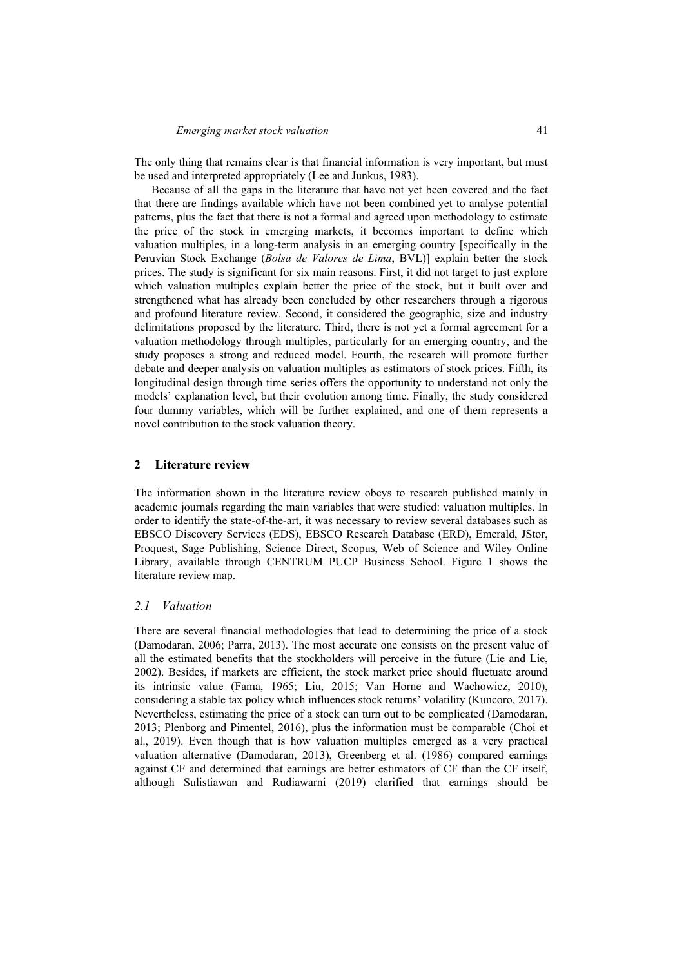The only thing that remains clear is that financial information is very important, but must be used and interpreted appropriately (Lee and Junkus, 1983).

Because of all the gaps in the literature that have not yet been covered and the fact that there are findings available which have not been combined yet to analyse potential patterns, plus the fact that there is not a formal and agreed upon methodology to estimate the price of the stock in emerging markets, it becomes important to define which valuation multiples, in a long-term analysis in an emerging country [specifically in the Peruvian Stock Exchange (*Bolsa de Valores de Lima*, BVL)] explain better the stock prices. The study is significant for six main reasons. First, it did not target to just explore which valuation multiples explain better the price of the stock, but it built over and strengthened what has already been concluded by other researchers through a rigorous and profound literature review. Second, it considered the geographic, size and industry delimitations proposed by the literature. Third, there is not yet a formal agreement for a valuation methodology through multiples, particularly for an emerging country, and the study proposes a strong and reduced model. Fourth, the research will promote further debate and deeper analysis on valuation multiples as estimators of stock prices. Fifth, its longitudinal design through time series offers the opportunity to understand not only the models' explanation level, but their evolution among time. Finally, the study considered four dummy variables, which will be further explained, and one of them represents a novel contribution to the stock valuation theory.

### **2 Literature review**

The information shown in the literature review obeys to research published mainly in academic journals regarding the main variables that were studied: valuation multiples. In order to identify the state-of-the-art, it was necessary to review several databases such as EBSCO Discovery Services (EDS), EBSCO Research Database (ERD), Emerald, JStor, Proquest, Sage Publishing, Science Direct, Scopus, Web of Science and Wiley Online Library, available through CENTRUM PUCP Business School. Figure 1 shows the literature review map.

#### *2.1 Valuation*

There are several financial methodologies that lead to determining the price of a stock (Damodaran, 2006; Parra, 2013). The most accurate one consists on the present value of all the estimated benefits that the stockholders will perceive in the future (Lie and Lie, 2002). Besides, if markets are efficient, the stock market price should fluctuate around its intrinsic value (Fama, 1965; Liu, 2015; Van Horne and Wachowicz, 2010), considering a stable tax policy which influences stock returns' volatility (Kuncoro, 2017). Nevertheless, estimating the price of a stock can turn out to be complicated (Damodaran, 2013; Plenborg and Pimentel, 2016), plus the information must be comparable (Choi et al., 2019). Even though that is how valuation multiples emerged as a very practical valuation alternative (Damodaran, 2013), Greenberg et al. (1986) compared earnings against CF and determined that earnings are better estimators of CF than the CF itself, although Sulistiawan and Rudiawarni (2019) clarified that earnings should be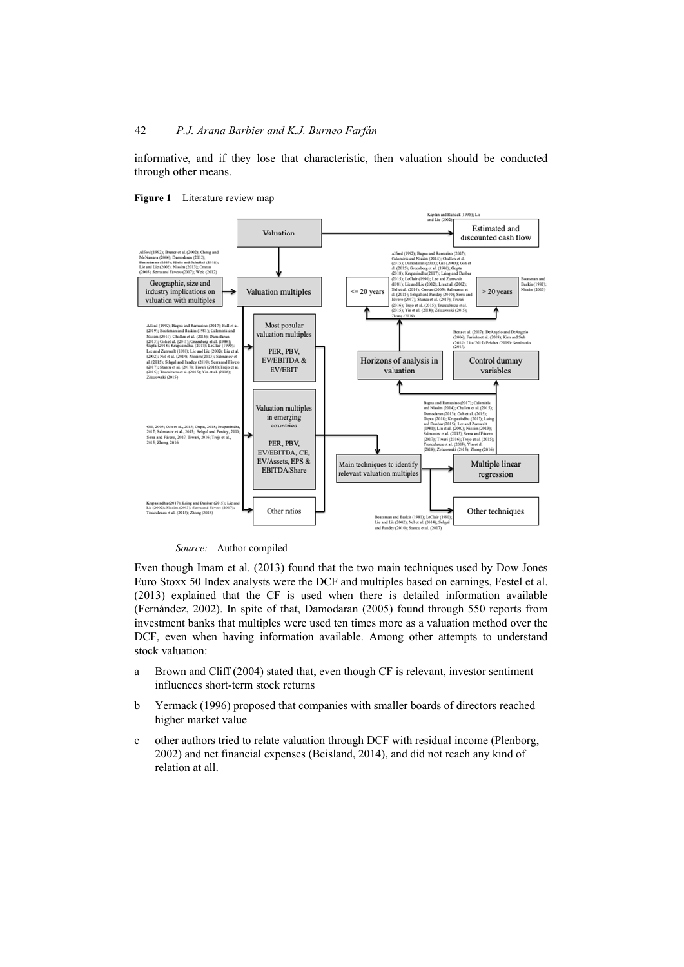informative, and if they lose that characteristic, then valuation should be conducted through other means.



**Figure 1** Literature review map

*Source:* Author compiled

Even though Imam et al. (2013) found that the two main techniques used by Dow Jones Euro Stoxx 50 Index analysts were the DCF and multiples based on earnings, Festel et al. (2013) explained that the CF is used when there is detailed information available (Fernández, 2002). In spite of that, Damodaran (2005) found through 550 reports from investment banks that multiples were used ten times more as a valuation method over the DCF, even when having information available. Among other attempts to understand stock valuation:

- a Brown and Cliff (2004) stated that, even though CF is relevant, investor sentiment influences short-term stock returns
- b Yermack (1996) proposed that companies with smaller boards of directors reached higher market value
- c other authors tried to relate valuation through DCF with residual income (Plenborg, 2002) and net financial expenses (Beisland, 2014), and did not reach any kind of relation at all.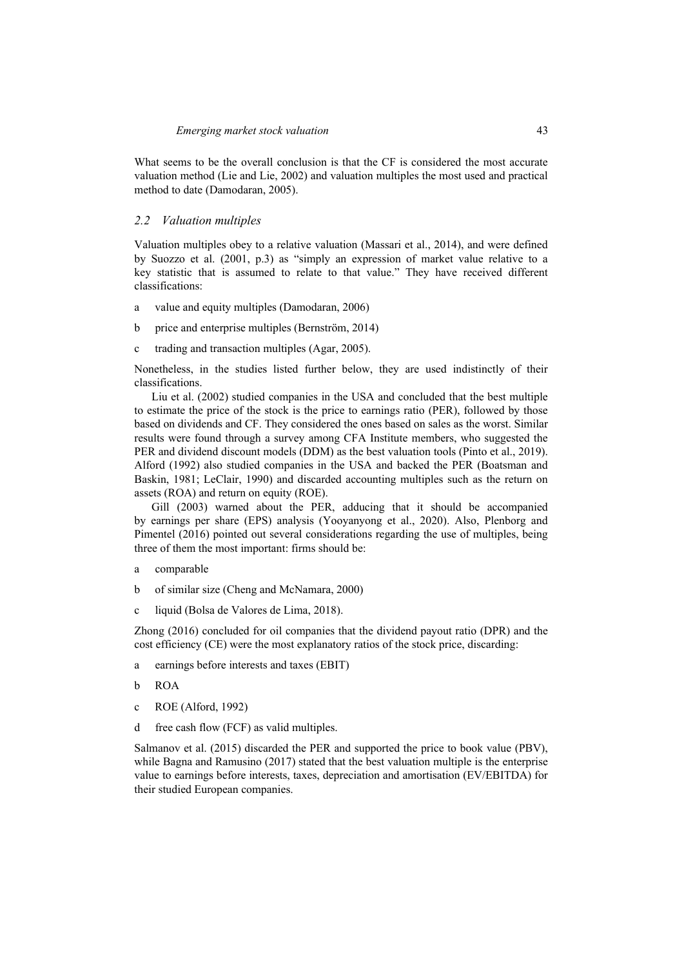What seems to be the overall conclusion is that the CF is considered the most accurate valuation method (Lie and Lie, 2002) and valuation multiples the most used and practical method to date (Damodaran, 2005).

### *2.2 Valuation multiples*

Valuation multiples obey to a relative valuation (Massari et al., 2014), and were defined by Suozzo et al. (2001, p.3) as "simply an expression of market value relative to a key statistic that is assumed to relate to that value." They have received different classifications:

- a value and equity multiples (Damodaran, 2006)
- b price and enterprise multiples (Bernström, 2014)
- c trading and transaction multiples (Agar, 2005).

Nonetheless, in the studies listed further below, they are used indistinctly of their classifications.

Liu et al. (2002) studied companies in the USA and concluded that the best multiple to estimate the price of the stock is the price to earnings ratio (PER), followed by those based on dividends and CF. They considered the ones based on sales as the worst. Similar results were found through a survey among CFA Institute members, who suggested the PER and dividend discount models (DDM) as the best valuation tools (Pinto et al., 2019). Alford (1992) also studied companies in the USA and backed the PER (Boatsman and Baskin, 1981; LeClair, 1990) and discarded accounting multiples such as the return on assets (ROA) and return on equity (ROE).

Gill (2003) warned about the PER, adducing that it should be accompanied by earnings per share (EPS) analysis (Yooyanyong et al., 2020). Also, Plenborg and Pimentel (2016) pointed out several considerations regarding the use of multiples, being three of them the most important: firms should be:

- a comparable
- b of similar size (Cheng and McNamara, 2000)
- c liquid (Bolsa de Valores de Lima, 2018).

Zhong (2016) concluded for oil companies that the dividend payout ratio (DPR) and the cost efficiency (CE) were the most explanatory ratios of the stock price, discarding:

- a earnings before interests and taxes (EBIT)
- b ROA
- c ROE (Alford, 1992)
- d free cash flow (FCF) as valid multiples.

Salmanov et al. (2015) discarded the PER and supported the price to book value (PBV), while Bagna and Ramusino (2017) stated that the best valuation multiple is the enterprise value to earnings before interests, taxes, depreciation and amortisation (EV/EBITDA) for their studied European companies.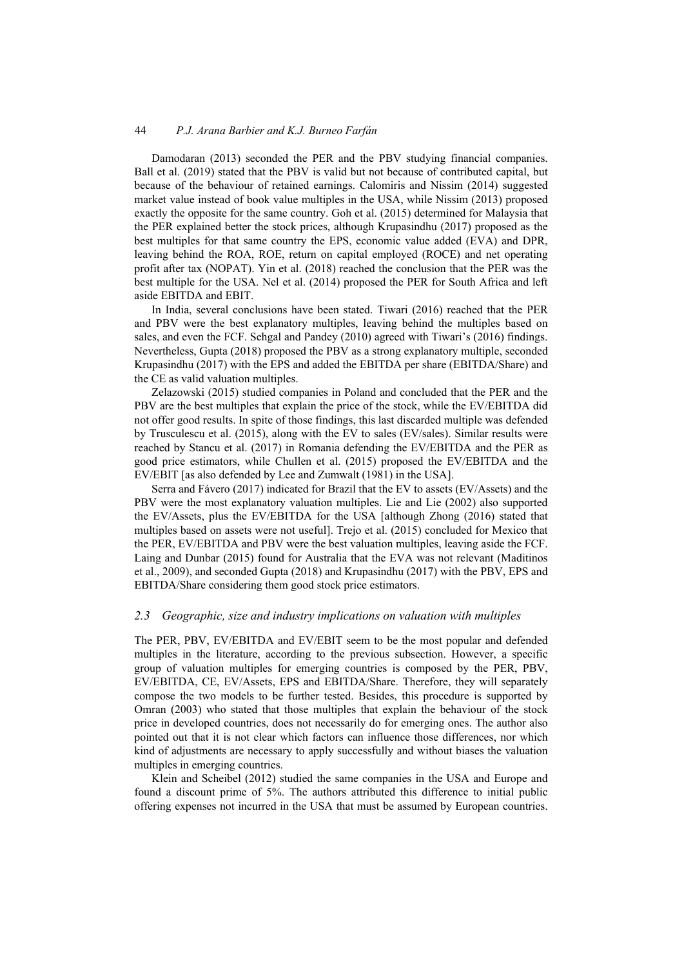Damodaran (2013) seconded the PER and the PBV studying financial companies. Ball et al. (2019) stated that the PBV is valid but not because of contributed capital, but because of the behaviour of retained earnings. Calomiris and Nissim (2014) suggested market value instead of book value multiples in the USA, while Nissim (2013) proposed exactly the opposite for the same country. Goh et al. (2015) determined for Malaysia that the PER explained better the stock prices, although Krupasindhu (2017) proposed as the best multiples for that same country the EPS, economic value added (EVA) and DPR, leaving behind the ROA, ROE, return on capital employed (ROCE) and net operating profit after tax (NOPAT). Yin et al. (2018) reached the conclusion that the PER was the best multiple for the USA. Nel et al. (2014) proposed the PER for South Africa and left aside EBITDA and EBIT.

In India, several conclusions have been stated. Tiwari (2016) reached that the PER and PBV were the best explanatory multiples, leaving behind the multiples based on sales, and even the FCF. Sehgal and Pandey (2010) agreed with Tiwari's (2016) findings. Nevertheless, Gupta (2018) proposed the PBV as a strong explanatory multiple, seconded Krupasindhu (2017) with the EPS and added the EBITDA per share (EBITDA/Share) and the CE as valid valuation multiples.

Zelazowski (2015) studied companies in Poland and concluded that the PER and the PBV are the best multiples that explain the price of the stock, while the EV/EBITDA did not offer good results. In spite of those findings, this last discarded multiple was defended by Trusculescu et al. (2015), along with the EV to sales (EV/sales). Similar results were reached by Stancu et al. (2017) in Romania defending the EV/EBITDA and the PER as good price estimators, while Chullen et al. (2015) proposed the EV/EBITDA and the EV/EBIT [as also defended by Lee and Zumwalt (1981) in the USA].

Serra and Fávero (2017) indicated for Brazil that the EV to assets (EV/Assets) and the PBV were the most explanatory valuation multiples. Lie and Lie (2002) also supported the EV/Assets, plus the EV/EBITDA for the USA [although Zhong (2016) stated that multiples based on assets were not useful]. Trejo et al. (2015) concluded for Mexico that the PER, EV/EBITDA and PBV were the best valuation multiples, leaving aside the FCF. Laing and Dunbar (2015) found for Australia that the EVA was not relevant (Maditinos et al., 2009), and seconded Gupta (2018) and Krupasindhu (2017) with the PBV, EPS and EBITDA/Share considering them good stock price estimators.

### *2.3 Geographic, size and industry implications on valuation with multiples*

The PER, PBV, EV/EBITDA and EV/EBIT seem to be the most popular and defended multiples in the literature, according to the previous subsection. However, a specific group of valuation multiples for emerging countries is composed by the PER, PBV, EV/EBITDA, CE, EV/Assets, EPS and EBITDA/Share. Therefore, they will separately compose the two models to be further tested. Besides, this procedure is supported by Omran (2003) who stated that those multiples that explain the behaviour of the stock price in developed countries, does not necessarily do for emerging ones. The author also pointed out that it is not clear which factors can influence those differences, nor which kind of adjustments are necessary to apply successfully and without biases the valuation multiples in emerging countries.

Klein and Scheibel (2012) studied the same companies in the USA and Europe and found a discount prime of 5%. The authors attributed this difference to initial public offering expenses not incurred in the USA that must be assumed by European countries.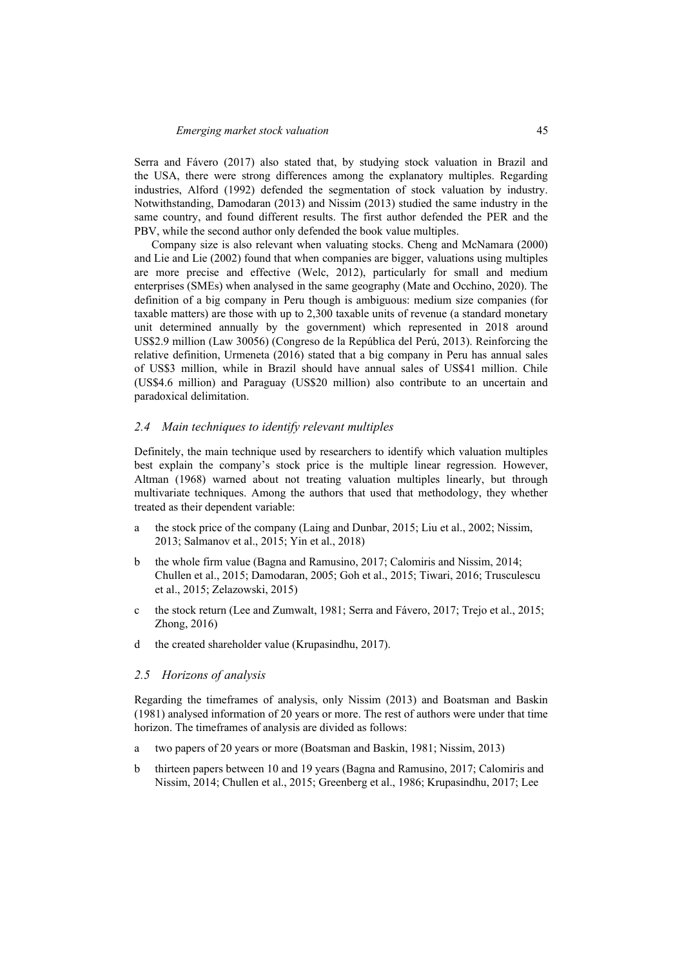Serra and Fávero (2017) also stated that, by studying stock valuation in Brazil and the USA, there were strong differences among the explanatory multiples. Regarding industries, Alford (1992) defended the segmentation of stock valuation by industry. Notwithstanding, Damodaran (2013) and Nissim (2013) studied the same industry in the same country, and found different results. The first author defended the PER and the PBV, while the second author only defended the book value multiples.

Company size is also relevant when valuating stocks. Cheng and McNamara (2000) and Lie and Lie (2002) found that when companies are bigger, valuations using multiples are more precise and effective (Welc, 2012), particularly for small and medium enterprises (SMEs) when analysed in the same geography (Mate and Occhino, 2020). The definition of a big company in Peru though is ambiguous: medium size companies (for taxable matters) are those with up to 2,300 taxable units of revenue (a standard monetary unit determined annually by the government) which represented in 2018 around US\$2.9 million (Law 30056) (Congreso de la República del Perú, 2013). Reinforcing the relative definition, Urmeneta (2016) stated that a big company in Peru has annual sales of US\$3 million, while in Brazil should have annual sales of US\$41 million. Chile (US\$4.6 million) and Paraguay (US\$20 million) also contribute to an uncertain and paradoxical delimitation.

### *2.4 Main techniques to identify relevant multiples*

Definitely, the main technique used by researchers to identify which valuation multiples best explain the company's stock price is the multiple linear regression. However, Altman (1968) warned about not treating valuation multiples linearly, but through multivariate techniques. Among the authors that used that methodology, they whether treated as their dependent variable:

- a the stock price of the company (Laing and Dunbar, 2015; Liu et al., 2002; Nissim, 2013; Salmanov et al., 2015; Yin et al., 2018)
- b the whole firm value (Bagna and Ramusino, 2017; Calomiris and Nissim, 2014; Chullen et al., 2015; Damodaran, 2005; Goh et al., 2015; Tiwari, 2016; Trusculescu et al., 2015; Zelazowski, 2015)
- c the stock return (Lee and Zumwalt, 1981; Serra and Fávero, 2017; Trejo et al., 2015; Zhong, 2016)
- d the created shareholder value (Krupasindhu, 2017).

# *2.5 Horizons of analysis*

Regarding the timeframes of analysis, only Nissim (2013) and Boatsman and Baskin (1981) analysed information of 20 years or more. The rest of authors were under that time horizon. The timeframes of analysis are divided as follows:

- a two papers of 20 years or more (Boatsman and Baskin, 1981; Nissim, 2013)
- b thirteen papers between 10 and 19 years (Bagna and Ramusino, 2017; Calomiris and Nissim, 2014; Chullen et al., 2015; Greenberg et al., 1986; Krupasindhu, 2017; Lee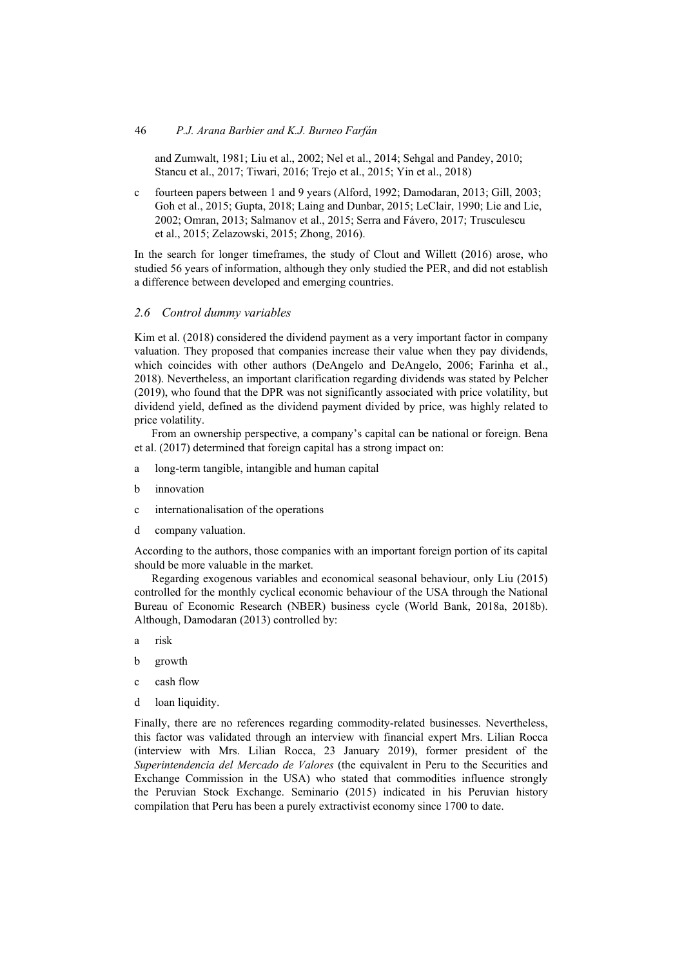and Zumwalt, 1981; Liu et al., 2002; Nel et al., 2014; Sehgal and Pandey, 2010; Stancu et al., 2017; Tiwari, 2016; Trejo et al., 2015; Yin et al., 2018)

c fourteen papers between 1 and 9 years (Alford, 1992; Damodaran, 2013; Gill, 2003; Goh et al., 2015; Gupta, 2018; Laing and Dunbar, 2015; LeClair, 1990; Lie and Lie, 2002; Omran, 2013; Salmanov et al., 2015; Serra and Fávero, 2017; Trusculescu et al., 2015; Zelazowski, 2015; Zhong, 2016).

In the search for longer timeframes, the study of Clout and Willett (2016) arose, who studied 56 years of information, although they only studied the PER, and did not establish a difference between developed and emerging countries.

# *2.6 Control dummy variables*

Kim et al. (2018) considered the dividend payment as a very important factor in company valuation. They proposed that companies increase their value when they pay dividends, which coincides with other authors (DeAngelo and DeAngelo, 2006; Farinha et al., 2018). Nevertheless, an important clarification regarding dividends was stated by Pelcher (2019), who found that the DPR was not significantly associated with price volatility, but dividend yield, defined as the dividend payment divided by price, was highly related to price volatility.

From an ownership perspective, a company's capital can be national or foreign. Bena et al. (2017) determined that foreign capital has a strong impact on:

- a long-term tangible, intangible and human capital
- b innovation
- c internationalisation of the operations
- d company valuation.

According to the authors, those companies with an important foreign portion of its capital should be more valuable in the market.

Regarding exogenous variables and economical seasonal behaviour, only Liu (2015) controlled for the monthly cyclical economic behaviour of the USA through the National Bureau of Economic Research (NBER) business cycle (World Bank, 2018a, 2018b). Although, Damodaran (2013) controlled by:

- a risk
- b growth
- c cash flow
- d loan liquidity.

Finally, there are no references regarding commodity-related businesses. Nevertheless, this factor was validated through an interview with financial expert Mrs. Lilian Rocca (interview with Mrs. Lilian Rocca, 23 January 2019), former president of the *Superintendencia del Mercado de Valores* (the equivalent in Peru to the Securities and Exchange Commission in the USA) who stated that commodities influence strongly the Peruvian Stock Exchange. Seminario (2015) indicated in his Peruvian history compilation that Peru has been a purely extractivist economy since 1700 to date.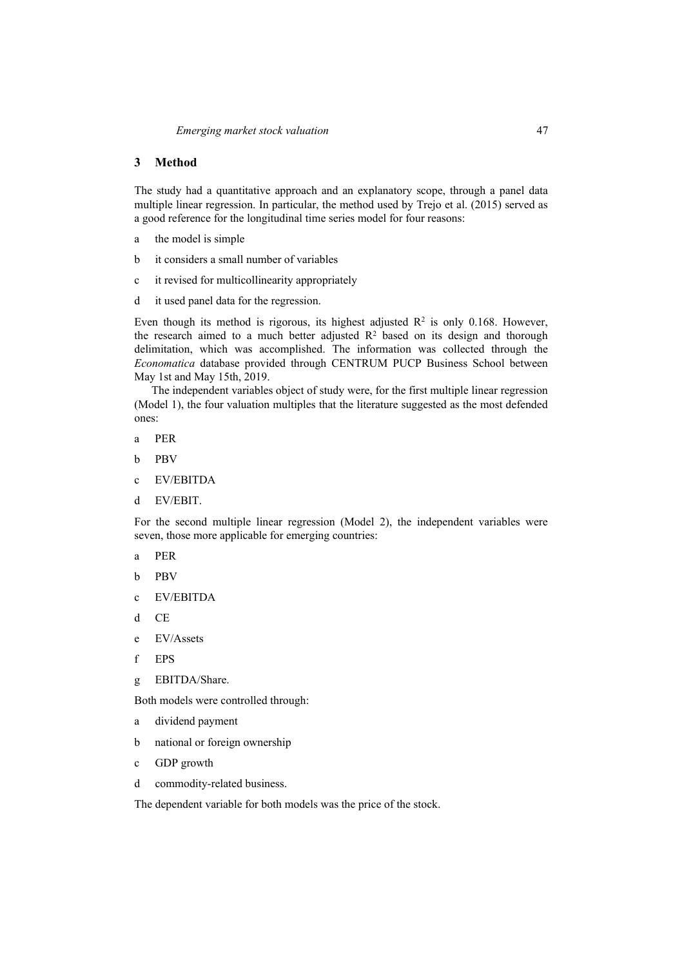# **3 Method**

The study had a quantitative approach and an explanatory scope, through a panel data multiple linear regression. In particular, the method used by Trejo et al. (2015) served as a good reference for the longitudinal time series model for four reasons:

- a the model is simple
- b it considers a small number of variables
- c it revised for multicollinearity appropriately
- d it used panel data for the regression.

Even though its method is rigorous, its highest adjusted  $\mathbb{R}^2$  is only 0.168. However, the research aimed to a much better adjusted  $R<sup>2</sup>$  based on its design and thorough delimitation, which was accomplished. The information was collected through the *Economatica* database provided through CENTRUM PUCP Business School between May 1st and May 15th, 2019.

The independent variables object of study were, for the first multiple linear regression (Model 1), the four valuation multiples that the literature suggested as the most defended ones:

- a PER
- b PBV
- c EV/EBITDA
- d EV/EBIT.

For the second multiple linear regression (Model 2), the independent variables were seven, those more applicable for emerging countries:

- a PER
- b PBV
- c EV/EBITDA
- d CE
- e EV/Assets
- f EPS
- g EBITDA/Share.

Both models were controlled through:

- a dividend payment
- b national or foreign ownership
- c GDP growth
- d commodity-related business.

The dependent variable for both models was the price of the stock.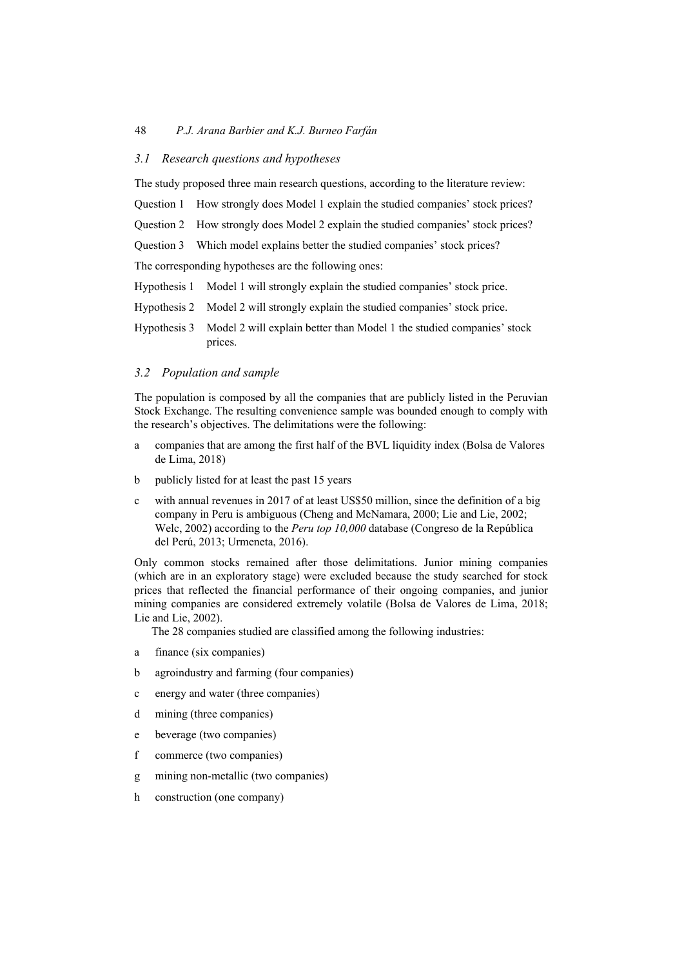# *3.1 Research questions and hypotheses*

The study proposed three main research questions, according to the literature review:

Question 1 How strongly does Model 1 explain the studied companies' stock prices?

Question 2 How strongly does Model 2 explain the studied companies' stock prices?

Question 3 Which model explains better the studied companies' stock prices?

The corresponding hypotheses are the following ones:

- Hypothesis 1 Model 1 will strongly explain the studied companies' stock price.
- Hypothesis 2 Model 2 will strongly explain the studied companies' stock price.
- Hypothesis 3 Model 2 will explain better than Model 1 the studied companies' stock prices.

## *3.2 Population and sample*

The population is composed by all the companies that are publicly listed in the Peruvian Stock Exchange. The resulting convenience sample was bounded enough to comply with the research's objectives. The delimitations were the following:

- a companies that are among the first half of the BVL liquidity index (Bolsa de Valores de Lima, 2018)
- b publicly listed for at least the past 15 years
- c with annual revenues in 2017 of at least US\$50 million, since the definition of a big company in Peru is ambiguous (Cheng and McNamara, 2000; Lie and Lie, 2002; Welc, 2002) according to the *Peru top 10,000* database (Congreso de la República del Perú, 2013; Urmeneta, 2016).

Only common stocks remained after those delimitations. Junior mining companies (which are in an exploratory stage) were excluded because the study searched for stock prices that reflected the financial performance of their ongoing companies, and junior mining companies are considered extremely volatile (Bolsa de Valores de Lima, 2018; Lie and Lie, 2002).

The 28 companies studied are classified among the following industries:

- a finance (six companies)
- b agroindustry and farming (four companies)
- c energy and water (three companies)
- d mining (three companies)
- e beverage (two companies)
- f commerce (two companies)
- g mining non-metallic (two companies)
- h construction (one company)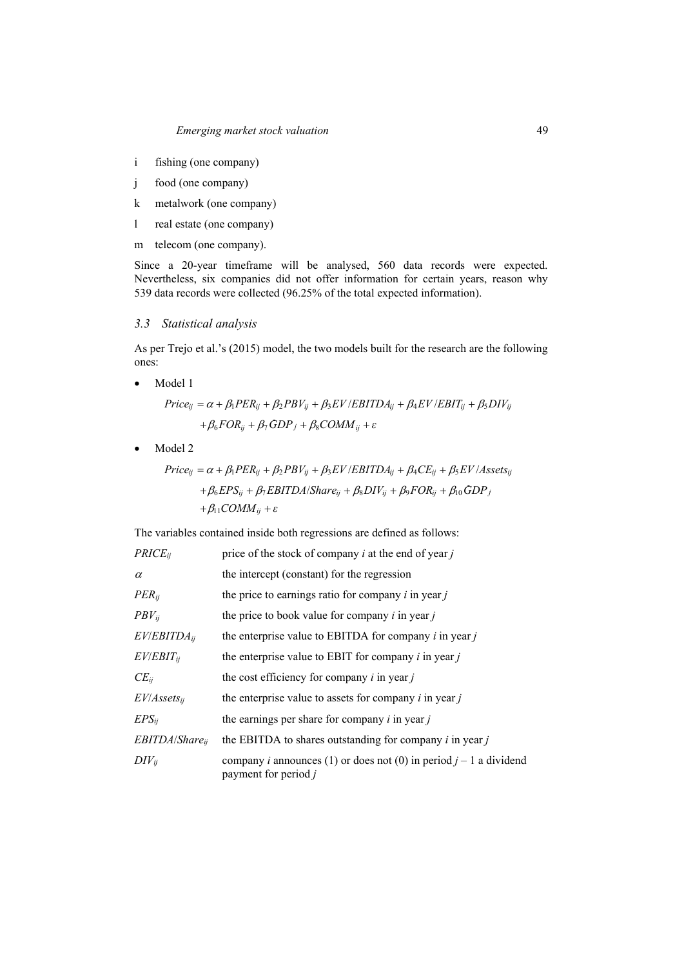- i fishing (one company)
- j food (one company)
- k metalwork (one company)
- l real estate (one company)
- m telecom (one company).

Since a 20-year timeframe will be analysed, 560 data records were expected. Nevertheless, six companies did not offer information for certain years, reason why 539 data records were collected (96.25% of the total expected information).

### *3.3 Statistical analysis*

As per Trejo et al.'s (2015) model, the two models built for the research are the following ones:

• Model 1

$$
Price_{ij} = \alpha + \beta_1 PER_{ij} + \beta_2 PBV_{ij} + \beta_3 EV/EBITDA_{ij} + \beta_4 EV/EBIT_{ij} + \beta_5 DIV_{ij}
$$

$$
+ \beta_6 FOR_{ij} + \beta_7 GDP_j + \beta_8 COMM_{ij} + \varepsilon
$$

• Model 2

$$
Price_{ij} = \alpha + \beta_1 PER_{ij} + \beta_2 PBV_{ij} + \beta_3 EV/EBITDA_{ij} + \beta_4 CE_{ij} + \beta_5 EV/Assets_{ij}
$$
  
+  $\beta_6 EPS_{ij} + \beta_7 EBITDA/Share_{ij} + \beta_8 DIV_{ij} + \beta_9 FOR_{ij} + \beta_{10} GDP_j$   
+  $\beta_{11} COMM_{ij} + \varepsilon$ 

The variables contained inside both regressions are defined as follows:

| $PRICE_{ii}$        | price of the stock of company $i$ at the end of year $j$                                              |
|---------------------|-------------------------------------------------------------------------------------------------------|
| $\alpha$            | the intercept (constant) for the regression                                                           |
| $PER_{ij}$          | the price to earnings ratio for company $i$ in year $j$                                               |
| $PBV_{ij}$          | the price to book value for company $i$ in year $j$                                                   |
| $EVEBITDA_{ii}$     | the enterprise value to EBITDA for company $i$ in year $j$                                            |
| $EV/EBIT_{ii}$      | the enterprise value to EBIT for company $i$ in year $j$                                              |
| $CE_{ii}$           | the cost efficiency for company $i$ in year $j$                                                       |
| $EV/Assets_{ii}$    | the enterprise value to assets for company $i$ in year $j$                                            |
| $EPS_{ii}$          | the earnings per share for company $i$ in year $j$                                                    |
| $EBITDA/Share_{ii}$ | the EBITDA to shares outstanding for company $i$ in year $j$                                          |
| $DIV_{ii}$          | company <i>i</i> announces (1) or does not (0) in period $j - 1$ a dividend<br>payment for period $j$ |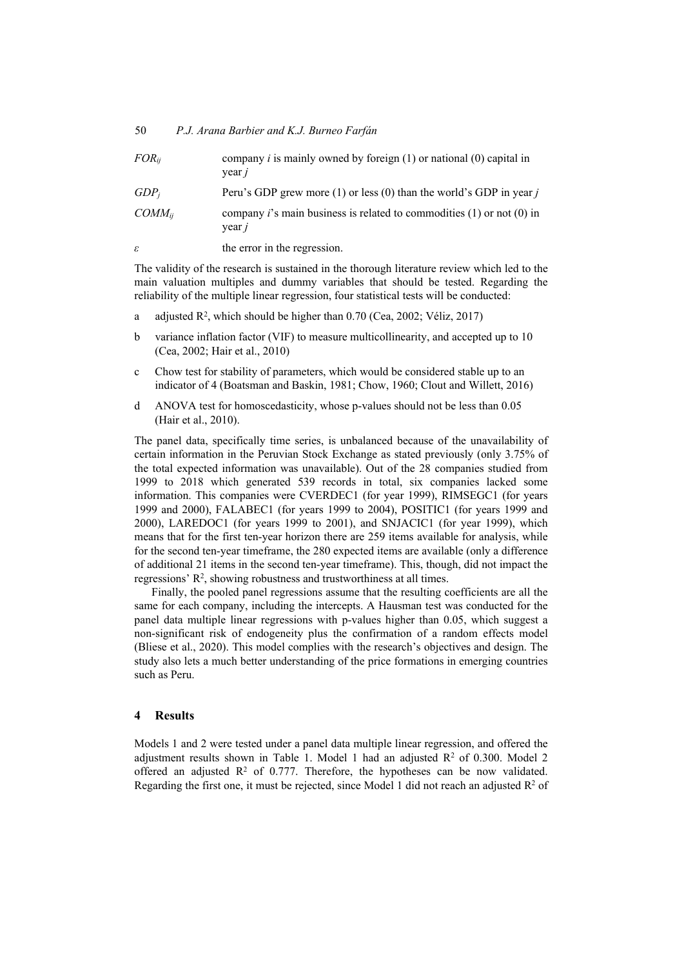| $FOR_{ij}$  | company <i>i</i> is mainly owned by foreign $(1)$ or national $(0)$ capital in<br>year j    |
|-------------|---------------------------------------------------------------------------------------------|
| $GDP_i$     | Peru's GDP grew more (1) or less (0) than the world's GDP in year $j$                       |
| $COMM_{ii}$ | company <i>i</i> 's main business is related to commodities $(1)$ or not $(0)$ in<br>year j |
| ε           | the error in the regression.                                                                |

The validity of the research is sustained in the thorough literature review which led to the main valuation multiples and dummy variables that should be tested. Regarding the reliability of the multiple linear regression, four statistical tests will be conducted:

- a adjusted  $\mathbb{R}^2$ , which should be higher than 0.70 (Cea, 2002; Véliz, 2017)
- b variance inflation factor (VIF) to measure multicollinearity, and accepted up to 10 (Cea, 2002; Hair et al., 2010)
- c Chow test for stability of parameters, which would be considered stable up to an indicator of 4 (Boatsman and Baskin, 1981; Chow, 1960; Clout and Willett, 2016)
- d ANOVA test for homoscedasticity, whose p-values should not be less than 0.05 (Hair et al., 2010).

The panel data, specifically time series, is unbalanced because of the unavailability of certain information in the Peruvian Stock Exchange as stated previously (only 3.75% of the total expected information was unavailable). Out of the 28 companies studied from 1999 to 2018 which generated 539 records in total, six companies lacked some information. This companies were CVERDEC1 (for year 1999), RIMSEGC1 (for years 1999 and 2000), FALABEC1 (for years 1999 to 2004), POSITIC1 (for years 1999 and 2000), LAREDOC1 (for years 1999 to 2001), and SNJACIC1 (for year 1999), which means that for the first ten-year horizon there are 259 items available for analysis, while for the second ten-year timeframe, the 280 expected items are available (only a difference of additional 21 items in the second ten-year timeframe). This, though, did not impact the regressions' R2, showing robustness and trustworthiness at all times.

Finally, the pooled panel regressions assume that the resulting coefficients are all the same for each company, including the intercepts. A Hausman test was conducted for the panel data multiple linear regressions with p-values higher than 0.05, which suggest a non-significant risk of endogeneity plus the confirmation of a random effects model (Bliese et al., 2020). This model complies with the research's objectives and design. The study also lets a much better understanding of the price formations in emerging countries such as Peru.

## **4 Results**

Models 1 and 2 were tested under a panel data multiple linear regression, and offered the adjustment results shown in Table 1. Model 1 had an adjusted  $\mathbb{R}^2$  of 0.300. Model 2 offered an adjusted  $R<sup>2</sup>$  of 0.777. Therefore, the hypotheses can be now validated. Regarding the first one, it must be rejected, since Model 1 did not reach an adjusted  $R^2$  of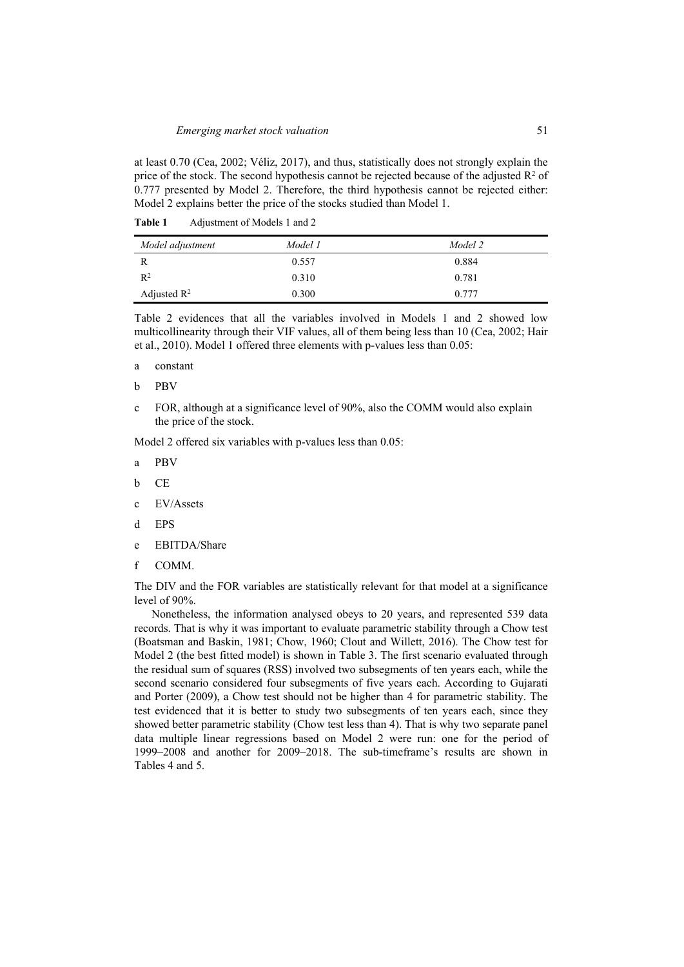at least 0.70 (Cea, 2002; Véliz, 2017), and thus, statistically does not strongly explain the price of the stock. The second hypothesis cannot be rejected because of the adjusted  $R^2$  of 0.777 presented by Model 2. Therefore, the third hypothesis cannot be rejected either: Model 2 explains better the price of the stocks studied than Model 1.

| Table 1 | Adjustment of Models 1 and 2 |  |
|---------|------------------------------|--|
|         |                              |  |

| Model adjustment        | Model 1 | Model 2 |
|-------------------------|---------|---------|
|                         | 0.557   | 0.884   |
| $R^2$                   | 0.310   | 0.781   |
| Adjusted $\mathbb{R}^2$ | 0.300   | 0.777   |

Table 2 evidences that all the variables involved in Models 1 and 2 showed low multicollinearity through their VIF values, all of them being less than 10 (Cea, 2002; Hair et al., 2010). Model 1 offered three elements with p-values less than 0.05:

- a constant
- b PBV
- c FOR, although at a significance level of 90%, also the COMM would also explain the price of the stock.

Model 2 offered six variables with p-values less than 0.05:

- a PBV
- b CE
- c EV/Assets
- d EPS
- e EBITDA/Share
- f COMM.

The DIV and the FOR variables are statistically relevant for that model at a significance level of 90%.

Nonetheless, the information analysed obeys to 20 years, and represented 539 data records. That is why it was important to evaluate parametric stability through a Chow test (Boatsman and Baskin, 1981; Chow, 1960; Clout and Willett, 2016). The Chow test for Model 2 (the best fitted model) is shown in Table 3. The first scenario evaluated through the residual sum of squares (RSS) involved two subsegments of ten years each, while the second scenario considered four subsegments of five years each. According to Gujarati and Porter (2009), a Chow test should not be higher than 4 for parametric stability. The test evidenced that it is better to study two subsegments of ten years each, since they showed better parametric stability (Chow test less than 4). That is why two separate panel data multiple linear regressions based on Model 2 were run: one for the period of 1999–2008 and another for 2009–2018. The sub-timeframe's results are shown in Tables 4 and 5.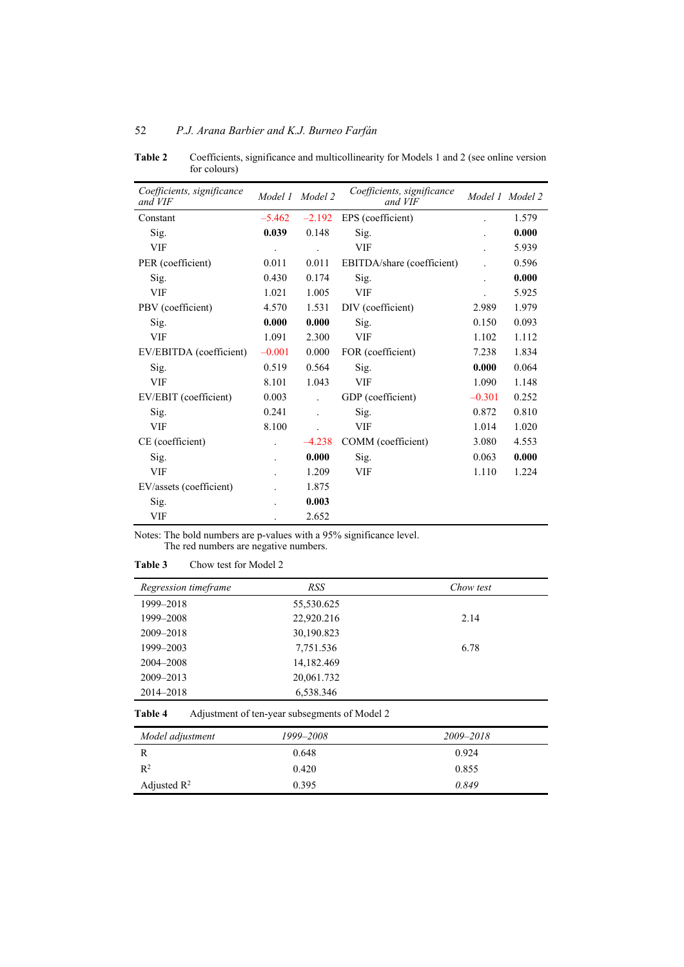| Coefficients, significance<br>and VIF | Model 1              | Model 2        | Coefficients, significance<br>and VIF |          | Model 1 Model 2 |
|---------------------------------------|----------------------|----------------|---------------------------------------|----------|-----------------|
| Constant                              | $-5.462$             | $-2.192$       | EPS (coefficient)                     |          | 1.579           |
| Sig.                                  | 0.039                | 0.148          | Sig.                                  |          | 0.000           |
| <b>VIF</b>                            | $\ddot{\phantom{0}}$ |                | <b>VIF</b>                            |          | 5.939           |
| PER (coefficient)                     | 0.011                | 0.011          | EBITDA/share (coefficient)            |          | 0.596           |
| Sig.                                  | 0.430                | 0.174          | Sig.                                  |          | 0.000           |
| <b>VIF</b>                            | 1.021                | 1.005          | <b>VIF</b>                            |          | 5.925           |
| PBV (coefficient)                     | 4.570                | 1.531          | DIV (coefficient)                     | 2.989    | 1.979           |
| Sig.                                  | 0.000                | 0.000          | Sig.                                  | 0.150    | 0.093           |
| <b>VIF</b>                            | 1.091                | 2.300          | <b>VIF</b>                            | 1.102    | 1.112           |
| EV/EBITDA (coefficient)               | $-0.001$             | 0.000          | FOR (coefficient)                     | 7.238    | 1.834           |
| Sig.                                  | 0.519                | 0.564          | Sig.                                  | 0.000    | 0.064           |
| <b>VIF</b>                            | 8.101                | 1.043          | <b>VIF</b>                            | 1.090    | 1.148           |
| EV/EBIT (coefficient)                 | 0.003                | $\overline{a}$ | GDP (coefficient)                     | $-0.301$ | 0.252           |
| Sig.                                  | 0.241                | $\overline{a}$ | Sig.                                  | 0.872    | 0.810           |
| <b>VIF</b>                            | 8.100                |                | <b>VIF</b>                            | 1.014    | 1.020           |
| CE (coefficient)                      |                      | $-4.238$       | COMM (coefficient)                    | 3.080    | 4.553           |
| Sig.                                  |                      | 0.000          | Sig.                                  | 0.063    | 0.000           |
| <b>VIF</b>                            |                      | 1.209          | <b>VIF</b>                            | 1.110    | 1.224           |
| EV/assets (coefficient)               |                      | 1.875          |                                       |          |                 |
| Sig.                                  |                      | 0.003          |                                       |          |                 |
| <b>VIF</b>                            |                      | 2.652          |                                       |          |                 |

**Table 2** Coefficients, significance and multicollinearity for Models 1 and 2 (see online version for colours)

Notes: The bold numbers are p-values with a 95% significance level. The red numbers are negative numbers.

### **Table 3** Chow test for Model 2

| Regression timeframe | <b>RSS</b> | Chow test |
|----------------------|------------|-----------|
| 1999-2018            | 55,530.625 |           |
| 1999-2008            | 22,920.216 | 2.14      |
| 2009-2018            | 30,190.823 |           |
| 1999-2003            | 7,751.536  | 6.78      |
| 2004–2008            | 14,182.469 |           |
| 2009-2013            | 20,061.732 |           |
| 2014-2018            | 6,538.346  |           |

**Table 4** Adjustment of ten-year subsegments of Model 2

| Model adjustment        | 1999–2008 | 2009-2018 |
|-------------------------|-----------|-----------|
|                         | 0.648     | 0.924     |
| $R^2$                   | 0.420     | 0.855     |
| Adjusted $\mathbb{R}^2$ | 0.395     | 0.849     |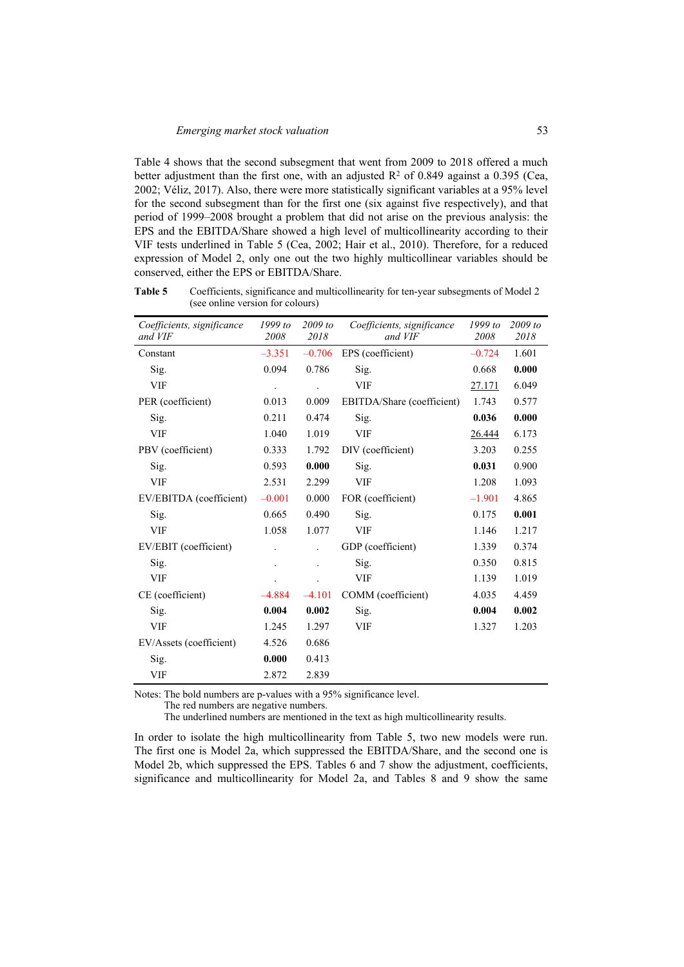Table 4 shows that the second subsegment that went from 2009 to 2018 offered a much better adjustment than the first one, with an adjusted  $R<sup>2</sup>$  of 0.849 against a 0.395 (Cea, 2002; Véliz, 2017). Also, there were more statistically significant variables at a 95% level for the second subsegment than for the first one (six against five respectively), and that period of 1999–2008 brought a problem that did not arise on the previous analysis: the EPS and the EBITDA/Share showed a high level of multicollinearity according to their VIF tests underlined in Table 5 (Cea, 2002; Hair et al., 2010). Therefore, for a reduced expression of Model 2, only one out the two highly multicollinear variables should be conserved, either the EPS or EBITDA/Share.

| Coefficients, significance<br>and VIF | 1999 to<br>2008 | $2009$ to<br>2018 | Coefficients, significance<br>and VIF | $1999$ to<br>2008 | $2009$ to<br>2018 |
|---------------------------------------|-----------------|-------------------|---------------------------------------|-------------------|-------------------|
| Constant                              | $-3.351$        | $-0.706$          | EPS (coefficient)                     | $-0.724$          | 1.601             |
| Sig.                                  | 0.094           | 0.786             | Sig.                                  | 0.668             | 0.000             |
| <b>VIF</b>                            |                 |                   | <b>VIF</b>                            | 27.171            | 6.049             |
| PER (coefficient)                     | 0.013           | 0.009             | EBITDA/Share (coefficient)            | 1.743             | 0.577             |
| Sig.                                  | 0.211           | 0.474             | Sig.                                  | 0.036             | 0.000             |
| <b>VIF</b>                            | 1.040           | 1.019             | <b>VIF</b>                            | 26.444            | 6.173             |
| PBV (coefficient)                     | 0.333           | 1.792             | DIV (coefficient)                     | 3.203             | 0.255             |
| Sig.                                  | 0.593           | 0.000             | Sig.                                  | 0.031             | 0.900             |
| <b>VIF</b>                            | 2.531           | 2.299             | <b>VIF</b>                            | 1.208             | 1.093             |
| EV/EBITDA (coefficient)               | $-0.001$        | 0.000             | FOR (coefficient)                     | $-1.901$          | 4.865             |
| Sig.                                  | 0.665           | 0.490             | Sig.                                  | 0.175             | 0.001             |
| <b>VIF</b>                            | 1.058           | 1.077             | <b>VIF</b>                            | 1.146             | 1.217             |
| EV/EBIT (coefficient)                 |                 | l.                | GDP (coefficient)                     | 1.339             | 0.374             |
| Sig.                                  |                 |                   | Sig.                                  | 0.350             | 0.815             |
| <b>VIF</b>                            |                 |                   | <b>VIF</b>                            | 1.139             | 1.019             |
| CE (coefficient)                      | $-4.884$        | $-4.101$          | COMM (coefficient)                    | 4.035             | 4.459             |
| Sig.                                  | 0.004           | 0.002             | Sig.                                  | 0.004             | 0.002             |
| <b>VIF</b>                            | 1.245           | 1.297             | <b>VIF</b>                            | 1.327             | 1.203             |
| EV/Assets (coefficient)               | 4.526           | 0.686             |                                       |                   |                   |
| Sig.                                  | 0.000           | 0.413             |                                       |                   |                   |
| <b>VIF</b>                            | 2.872           | 2.839             |                                       |                   |                   |

**Table 5** Coefficients, significance and multicollinearity for ten-year subsegments of Model 2 (see online version for colours)

Notes: The bold numbers are p-values with a 95% significance level.

The red numbers are negative numbers.

The underlined numbers are mentioned in the text as high multicollinearity results.

In order to isolate the high multicollinearity from Table 5, two new models were run. The first one is Model 2a, which suppressed the EBITDA/Share, and the second one is Model 2b, which suppressed the EPS. Tables 6 and 7 show the adjustment, coefficients, significance and multicollinearity for Model 2a, and Tables 8 and 9 show the same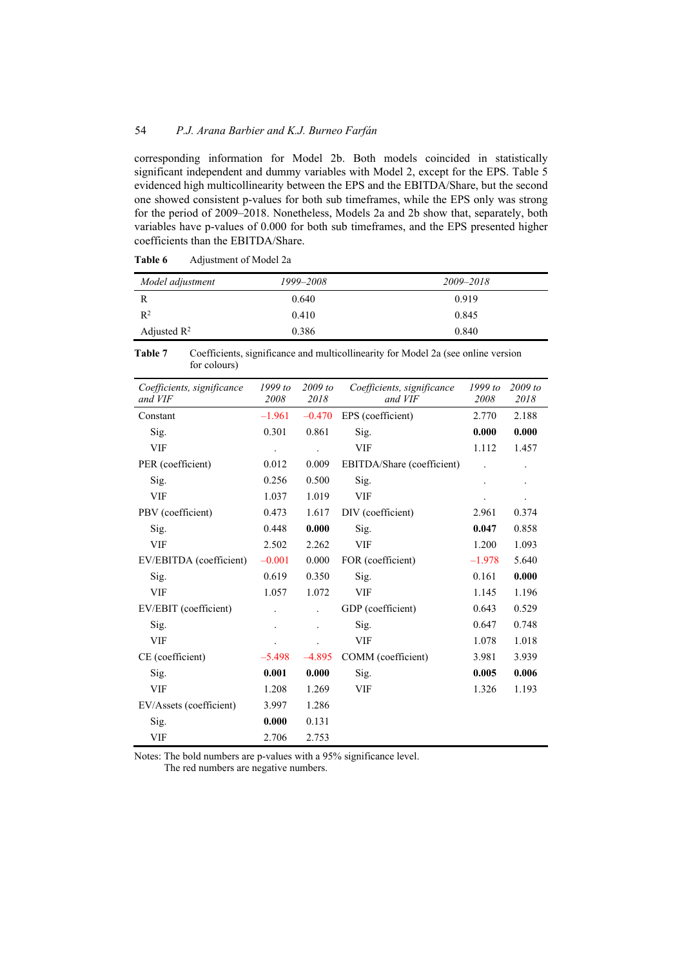corresponding information for Model 2b. Both models coincided in statistically significant independent and dummy variables with Model 2, except for the EPS. Table 5 evidenced high multicollinearity between the EPS and the EBITDA/Share, but the second one showed consistent p-values for both sub timeframes, while the EPS only was strong for the period of 2009–2018. Nonetheless, Models 2a and 2b show that, separately, both variables have p-values of 0.000 for both sub timeframes, and the EPS presented higher coefficients than the EBITDA/Share.

| Model adjustment        | 1999–2008 | 2009-2018 |
|-------------------------|-----------|-----------|
|                         | 0.640     | 0.919     |
| R <sup>2</sup>          | 0.410     | 0.845     |
| Adjusted $\mathbb{R}^2$ | 0.386     | 0.840     |

Table 6 Adjustment of Model 2a

**Table 7** Coefficients, significance and multicollinearity for Model 2a (see online version for colours)

| Coefficients, significance<br>and VIF | $1999$ to<br>2008 | $2009$ to<br>2018    | Coefficients, significance<br>and VIF | $1999$ to<br>2008    | $2009$ to<br>2018    |
|---------------------------------------|-------------------|----------------------|---------------------------------------|----------------------|----------------------|
| Constant                              | $-1.961$          | $-0.470$             | EPS (coefficient)                     | 2.770                | 2.188                |
| Sig.                                  | 0.301             | 0.861                | Sig.                                  | 0.000                | 0.000                |
| <b>VIF</b>                            |                   | $\ddot{\phantom{0}}$ | <b>VIF</b>                            | 1.112                | 1.457                |
| PER (coefficient)                     | 0.012             | 0.009                | EBITDA/Share (coefficient)            | $\ddot{\phantom{0}}$ |                      |
| Sig.                                  | 0.256             | 0.500                | Sig.                                  |                      |                      |
| <b>VIF</b>                            | 1.037             | 1.019                | VIF                                   |                      | $\ddot{\phantom{0}}$ |
| PBV (coefficient)                     | 0.473             | 1.617                | DIV (coefficient)                     | 2.961                | 0.374                |
| Sig.                                  | 0.448             | 0.000                | Sig.                                  | 0.047                | 0.858                |
| VIF                                   | 2.502             | 2.262                | VIF                                   | 1.200                | 1.093                |
| EV/EBITDA (coefficient)               | $-0.001$          | 0.000                | FOR (coefficient)                     | $-1.978$             | 5.640                |
| Sig.                                  | 0.619             | 0.350                | Sig.                                  | 0.161                | 0.000                |
| <b>VIF</b>                            | 1.057             | 1.072                | VIF                                   | 1.145                | 1.196                |
| EV/EBIT (coefficient)                 |                   | $\ddot{\phantom{0}}$ | GDP (coefficient)                     | 0.643                | 0.529                |
| Sig.                                  |                   | $\ddot{\phantom{0}}$ | Sig.                                  | 0.647                | 0.748                |
| <b>VIF</b>                            |                   | $\ddot{\phantom{0}}$ | VIF                                   | 1.078                | 1.018                |
| CE (coefficient)                      | $-5.498$          | $-4.895$             | COMM (coefficient)                    | 3.981                | 3.939                |
| Sig.                                  | 0.001             | 0.000                | Sig.                                  | 0.005                | 0.006                |
| VIF                                   | 1.208             | 1.269                | VIF                                   | 1.326                | 1.193                |
| EV/Assets (coefficient)               | 3.997             | 1.286                |                                       |                      |                      |
| Sig.                                  | 0.000             | 0.131                |                                       |                      |                      |
| VIF                                   | 2.706             | 2.753                |                                       |                      |                      |

Notes: The bold numbers are p-values with a 95% significance level.

The red numbers are negative numbers.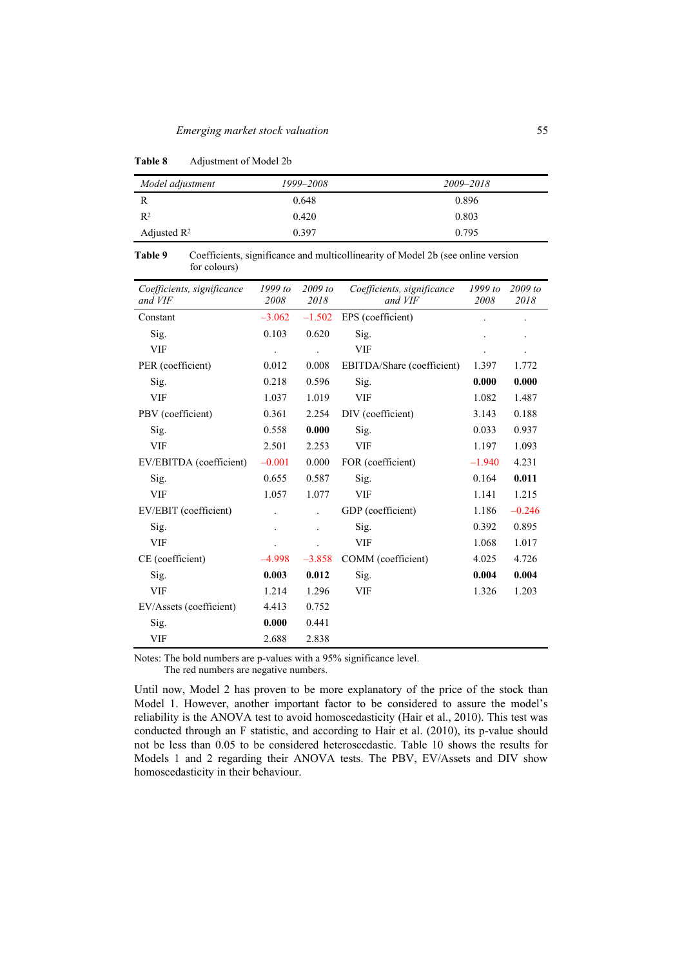| Model adjustment        | 1999–2008 | 2009-2018 |
|-------------------------|-----------|-----------|
| R                       | 0.648     | 0.896     |
| R <sup>2</sup>          | 0.420     | 0.803     |
| Adjusted $\mathbb{R}^2$ | 0.397     | 0.795     |

**Table 8** Adjustment of Model 2b

**Table 9** Coefficients, significance and multicollinearity of Model 2b (see online version for colours)

| Coefficients, significance<br>and VIF | $1999$ to<br>2008    | $2009$ to<br>2018    | Coefficients, significance<br>and VIF | 1999 to<br>2008 | 2009 to<br>2018      |
|---------------------------------------|----------------------|----------------------|---------------------------------------|-----------------|----------------------|
| Constant                              | $-3.062$             | $-1.502$             | EPS (coefficient)                     |                 | $\ddot{\phantom{0}}$ |
| Sig.                                  | 0.103                | 0.620                | Sig.                                  |                 |                      |
| <b>VIF</b>                            | $\ddot{\phantom{0}}$ | $\ddot{\phantom{0}}$ | <b>VIF</b>                            |                 | $\bullet$            |
| PER (coefficient)                     | 0.012                | 0.008                | EBITDA/Share (coefficient)            | 1.397           | 1.772                |
| Sig.                                  | 0.218                | 0.596                | Sig.                                  | 0.000           | 0.000                |
| <b>VIF</b>                            | 1.037                | 1.019                | VIF                                   | 1.082           | 1.487                |
| PBV (coefficient)                     | 0.361                | 2.254                | DIV (coefficient)                     | 3.143           | 0.188                |
| Sig.                                  | 0.558                | 0.000                | Sig.                                  | 0.033           | 0.937                |
| <b>VIF</b>                            | 2.501                | 2.253                | <b>VIF</b>                            | 1.197           | 1.093                |
| EV/EBITDA (coefficient)               | $-0.001$             | 0.000                | FOR (coefficient)                     | $-1.940$        | 4.231                |
| Sig.                                  | 0.655                | 0.587                | Sig.                                  | 0.164           | 0.011                |
| <b>VIF</b>                            | 1.057                | 1.077                | <b>VIF</b>                            | 1.141           | 1.215                |
| EV/EBIT (coefficient)                 |                      | $\ddot{\phantom{0}}$ | GDP (coefficient)                     | 1.186           | $-0.246$             |
| Sig.                                  |                      | $\ddot{\phantom{a}}$ | Sig.                                  | 0.392           | 0.895                |
| <b>VIF</b>                            |                      |                      | VIF                                   | 1.068           | 1.017                |
| CE (coefficient)                      | $-4.998$             | $-3.858$             | COMM (coefficient)                    | 4.025           | 4.726                |
| Sig.                                  | 0.003                | 0.012                | Sig.                                  | 0.004           | 0.004                |
| <b>VIF</b>                            | 1.214                | 1.296                | <b>VIF</b>                            | 1.326           | 1.203                |
| EV/Assets (coefficient)               | 4.413                | 0.752                |                                       |                 |                      |
| Sig.                                  | 0.000                | 0.441                |                                       |                 |                      |
| <b>VIF</b>                            | 2.688                | 2.838                |                                       |                 |                      |

Notes: The bold numbers are p-values with a 95% significance level.

The red numbers are negative numbers.

Until now, Model 2 has proven to be more explanatory of the price of the stock than Model 1. However, another important factor to be considered to assure the model's reliability is the ANOVA test to avoid homoscedasticity (Hair et al., 2010). This test was conducted through an F statistic, and according to Hair et al. (2010), its p-value should not be less than 0.05 to be considered heteroscedastic. Table 10 shows the results for Models 1 and 2 regarding their ANOVA tests. The PBV, EV/Assets and DIV show homoscedasticity in their behaviour.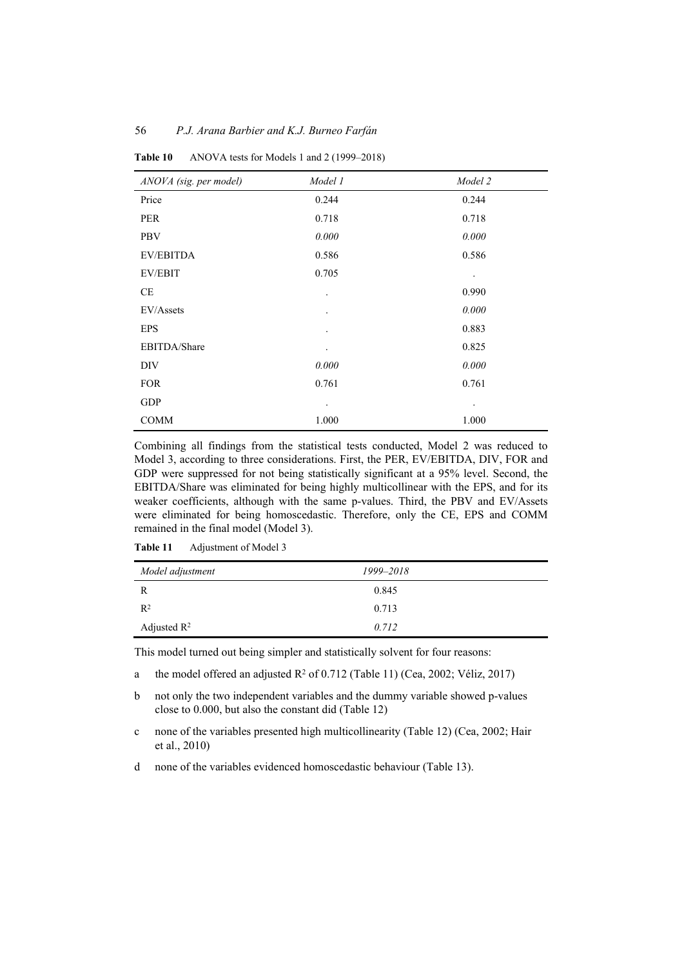| ANOVA (sig. per model) | Model 1              | Model 2              |
|------------------------|----------------------|----------------------|
| Price                  | 0.244                | 0.244                |
| <b>PER</b>             | 0.718                | 0.718                |
| <b>PBV</b>             | 0.000                | 0.000                |
| <b>EV/EBITDA</b>       | 0.586                | 0.586                |
| <b>EV/EBIT</b>         | 0.705                | $\ddot{\phantom{0}}$ |
| CE                     | $\ddot{\phantom{0}}$ | 0.990                |
| EV/Assets              | $\ddot{\phantom{0}}$ | 0.000                |
| <b>EPS</b>             | ٠                    | 0.883                |
| EBITDA/Share           | $\bullet$            | 0.825                |
| DIV                    | 0.000                | 0.000                |
| <b>FOR</b>             | 0.761                | 0.761                |
| <b>GDP</b>             | $\bullet$            | $\bullet$            |
| <b>COMM</b>            | 1.000                | 1.000                |

**Table 10** ANOVA tests for Models 1 and 2 (1999–2018)

Combining all findings from the statistical tests conducted, Model 2 was reduced to Model 3, according to three considerations. First, the PER, EV/EBITDA, DIV, FOR and GDP were suppressed for not being statistically significant at a 95% level. Second, the EBITDA/Share was eliminated for being highly multicollinear with the EPS, and for its weaker coefficients, although with the same p-values. Third, the PBV and EV/Assets were eliminated for being homoscedastic. Therefore, only the CE, EPS and COMM remained in the final model (Model 3).

| Model adjustment | 1999–2018 |
|------------------|-----------|
| R                | 0.845     |
| $R^2$            | 0.713     |
| Adjusted $R^2$   | 0.712     |

**Table 11** Adjustment of Model 3

This model turned out being simpler and statistically solvent for four reasons:

- a the model offered an adjusted  $R^2$  of 0.712 (Table 11) (Cea, 2002; Véliz, 2017)
- b not only the two independent variables and the dummy variable showed p-values close to 0.000, but also the constant did (Table 12)
- c none of the variables presented high multicollinearity (Table 12) (Cea, 2002; Hair et al., 2010)
- d none of the variables evidenced homoscedastic behaviour (Table 13).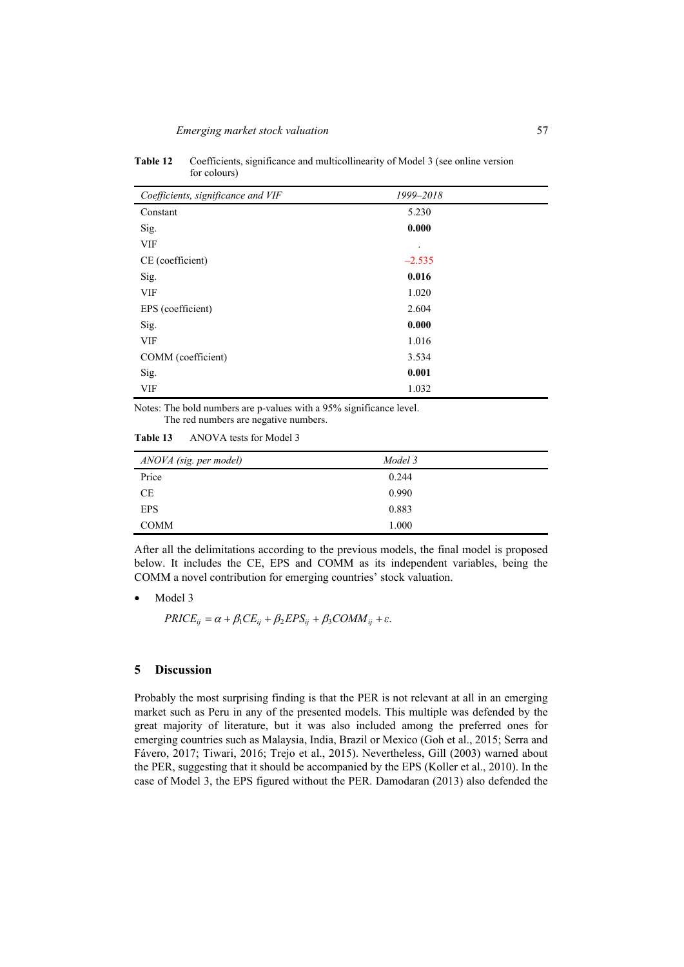| Coefficients, significance and VIF | 1999-2018            |  |
|------------------------------------|----------------------|--|
| Constant                           | 5.230                |  |
| Sig.                               | 0.000                |  |
| <b>VIF</b>                         | $\ddot{\phantom{0}}$ |  |
| CE (coefficient)                   | $-2.535$             |  |
| Sig.                               | 0.016                |  |
| <b>VIF</b>                         | 1.020                |  |
| EPS (coefficient)                  | 2.604                |  |
| Sig.                               | 0.000                |  |
| <b>VIF</b>                         | 1.016                |  |
| COMM (coefficient)                 | 3.534                |  |
| Sig.                               | 0.001                |  |
| <b>VIF</b>                         | 1.032                |  |

**Table 12** Coefficients, significance and multicollinearity of Model 3 (see online version for colours)

Notes: The bold numbers are p-values with a 95% significance level. The red numbers are negative numbers.

**Table 13** ANOVA tests for Model 3

| ANOVA (sig. per model) | Model 3 |
|------------------------|---------|
| Price                  | 0.244   |
| <b>CE</b>              | 0.990   |
| <b>EPS</b>             | 0.883   |
| <b>COMM</b>            | 1.000   |

After all the delimitations according to the previous models, the final model is proposed below. It includes the CE, EPS and COMM as its independent variables, being the COMM a novel contribution for emerging countries' stock valuation.

Model 3

 $PRICE_{ii} = \alpha + \beta_1 CE_{ii} + \beta_2 EPS_{ii} + \beta_3 COMM_{ii} + \varepsilon.$ 

### **5 Discussion**

Probably the most surprising finding is that the PER is not relevant at all in an emerging market such as Peru in any of the presented models. This multiple was defended by the great majority of literature, but it was also included among the preferred ones for emerging countries such as Malaysia, India, Brazil or Mexico (Goh et al., 2015; Serra and Fávero, 2017; Tiwari, 2016; Trejo et al., 2015). Nevertheless, Gill (2003) warned about the PER, suggesting that it should be accompanied by the EPS (Koller et al., 2010). In the case of Model 3, the EPS figured without the PER. Damodaran (2013) also defended the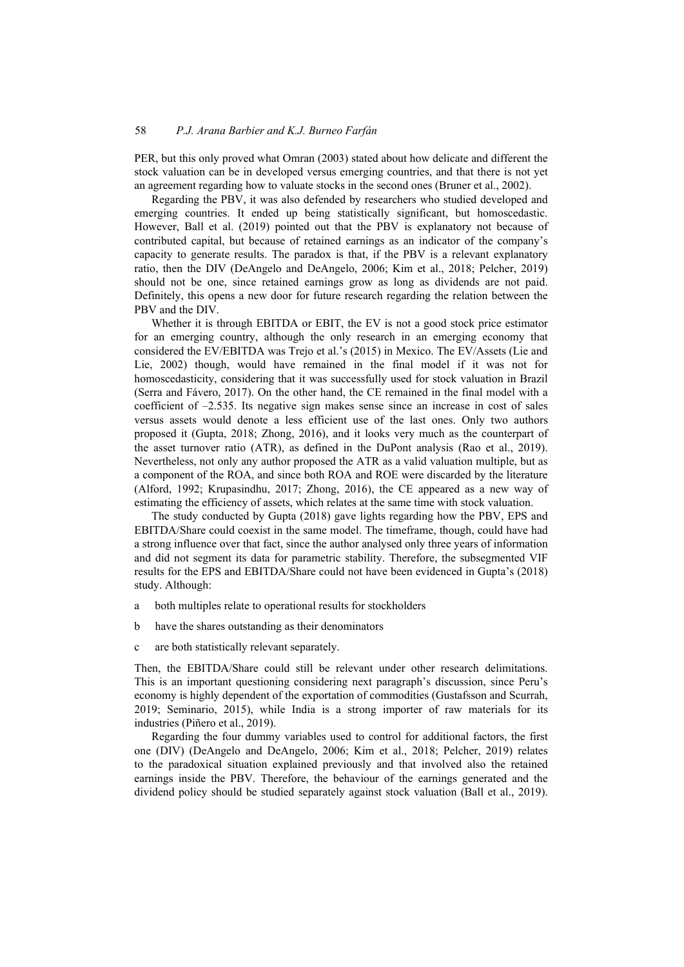PER, but this only proved what Omran (2003) stated about how delicate and different the stock valuation can be in developed versus emerging countries, and that there is not yet an agreement regarding how to valuate stocks in the second ones (Bruner et al., 2002).

Regarding the PBV, it was also defended by researchers who studied developed and emerging countries. It ended up being statistically significant, but homoscedastic. However, Ball et al. (2019) pointed out that the PBV is explanatory not because of contributed capital, but because of retained earnings as an indicator of the company's capacity to generate results. The paradox is that, if the PBV is a relevant explanatory ratio, then the DIV (DeAngelo and DeAngelo, 2006; Kim et al., 2018; Pelcher, 2019) should not be one, since retained earnings grow as long as dividends are not paid. Definitely, this opens a new door for future research regarding the relation between the PBV and the DIV.

Whether it is through EBITDA or EBIT, the EV is not a good stock price estimator for an emerging country, although the only research in an emerging economy that considered the EV/EBITDA was Trejo et al.'s (2015) in Mexico. The EV/Assets (Lie and Lie, 2002) though, would have remained in the final model if it was not for homoscedasticity, considering that it was successfully used for stock valuation in Brazil (Serra and Fávero, 2017). On the other hand, the CE remained in the final model with a coefficient of  $-2.535$ . Its negative sign makes sense since an increase in cost of sales versus assets would denote a less efficient use of the last ones. Only two authors proposed it (Gupta, 2018; Zhong, 2016), and it looks very much as the counterpart of the asset turnover ratio (ATR), as defined in the DuPont analysis (Rao et al., 2019). Nevertheless, not only any author proposed the ATR as a valid valuation multiple, but as a component of the ROA, and since both ROA and ROE were discarded by the literature (Alford, 1992; Krupasindhu, 2017; Zhong, 2016), the CE appeared as a new way of estimating the efficiency of assets, which relates at the same time with stock valuation.

The study conducted by Gupta (2018) gave lights regarding how the PBV, EPS and EBITDA/Share could coexist in the same model. The timeframe, though, could have had a strong influence over that fact, since the author analysed only three years of information and did not segment its data for parametric stability. Therefore, the subsegmented VIF results for the EPS and EBITDA/Share could not have been evidenced in Gupta's (2018) study. Although:

- a both multiples relate to operational results for stockholders
- b have the shares outstanding as their denominators
- c are both statistically relevant separately.

Then, the EBITDA/Share could still be relevant under other research delimitations. This is an important questioning considering next paragraph's discussion, since Peru's economy is highly dependent of the exportation of commodities (Gustafsson and Scurrah, 2019; Seminario, 2015), while India is a strong importer of raw materials for its industries (Piñero et al., 2019).

Regarding the four dummy variables used to control for additional factors, the first one (DIV) (DeAngelo and DeAngelo, 2006; Kim et al., 2018; Pelcher, 2019) relates to the paradoxical situation explained previously and that involved also the retained earnings inside the PBV. Therefore, the behaviour of the earnings generated and the dividend policy should be studied separately against stock valuation (Ball et al., 2019).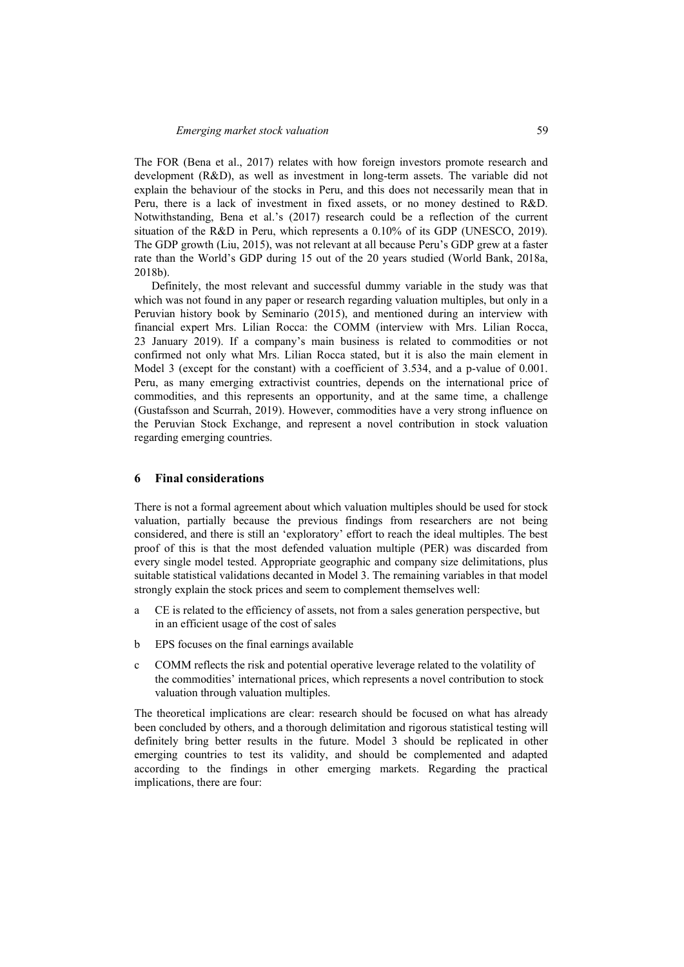The FOR (Bena et al., 2017) relates with how foreign investors promote research and development (R&D), as well as investment in long-term assets. The variable did not explain the behaviour of the stocks in Peru, and this does not necessarily mean that in Peru, there is a lack of investment in fixed assets, or no money destined to R&D. Notwithstanding, Bena et al.'s (2017) research could be a reflection of the current situation of the R&D in Peru, which represents a 0.10% of its GDP (UNESCO, 2019). The GDP growth (Liu, 2015), was not relevant at all because Peru's GDP grew at a faster rate than the World's GDP during 15 out of the 20 years studied (World Bank, 2018a, 2018b).

Definitely, the most relevant and successful dummy variable in the study was that which was not found in any paper or research regarding valuation multiples, but only in a Peruvian history book by Seminario (2015), and mentioned during an interview with financial expert Mrs. Lilian Rocca: the COMM (interview with Mrs. Lilian Rocca, 23 January 2019). If a company's main business is related to commodities or not confirmed not only what Mrs. Lilian Rocca stated, but it is also the main element in Model 3 (except for the constant) with a coefficient of 3.534, and a p-value of 0.001. Peru, as many emerging extractivist countries, depends on the international price of commodities, and this represents an opportunity, and at the same time, a challenge (Gustafsson and Scurrah, 2019). However, commodities have a very strong influence on the Peruvian Stock Exchange, and represent a novel contribution in stock valuation regarding emerging countries.

### **6 Final considerations**

There is not a formal agreement about which valuation multiples should be used for stock valuation, partially because the previous findings from researchers are not being considered, and there is still an 'exploratory' effort to reach the ideal multiples. The best proof of this is that the most defended valuation multiple (PER) was discarded from every single model tested. Appropriate geographic and company size delimitations, plus suitable statistical validations decanted in Model 3. The remaining variables in that model strongly explain the stock prices and seem to complement themselves well:

- a CE is related to the efficiency of assets, not from a sales generation perspective, but in an efficient usage of the cost of sales
- b EPS focuses on the final earnings available
- c COMM reflects the risk and potential operative leverage related to the volatility of the commodities' international prices, which represents a novel contribution to stock valuation through valuation multiples.

The theoretical implications are clear: research should be focused on what has already been concluded by others, and a thorough delimitation and rigorous statistical testing will definitely bring better results in the future. Model 3 should be replicated in other emerging countries to test its validity, and should be complemented and adapted according to the findings in other emerging markets. Regarding the practical implications, there are four: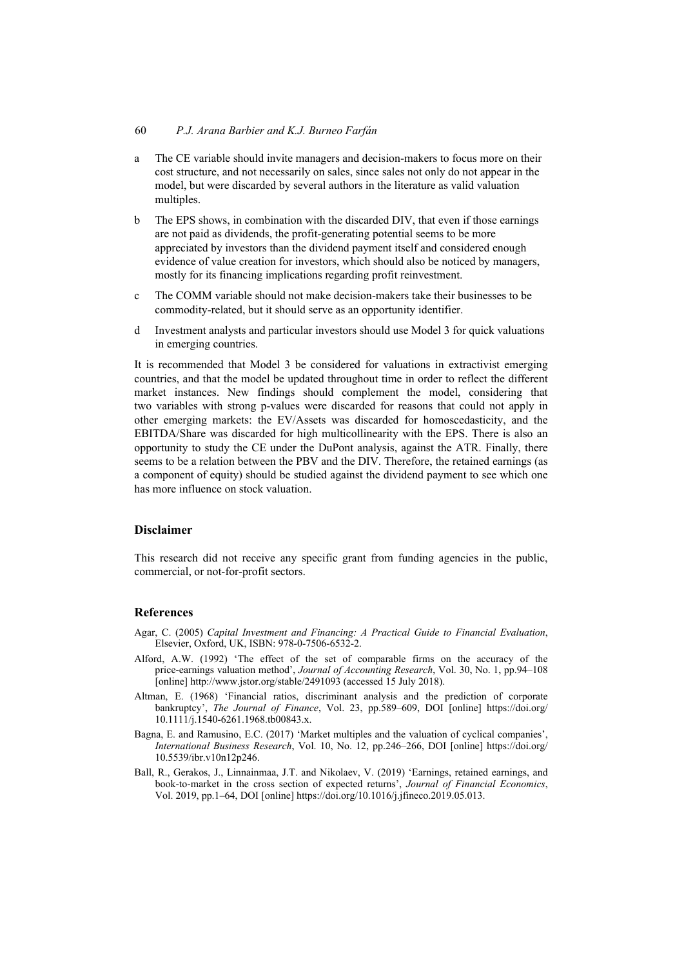- a The CE variable should invite managers and decision-makers to focus more on their cost structure, and not necessarily on sales, since sales not only do not appear in the model, but were discarded by several authors in the literature as valid valuation multiples.
- b The EPS shows, in combination with the discarded DIV, that even if those earnings are not paid as dividends, the profit-generating potential seems to be more appreciated by investors than the dividend payment itself and considered enough evidence of value creation for investors, which should also be noticed by managers, mostly for its financing implications regarding profit reinvestment.
- c The COMM variable should not make decision-makers take their businesses to be commodity-related, but it should serve as an opportunity identifier.
- d Investment analysts and particular investors should use Model 3 for quick valuations in emerging countries.

It is recommended that Model 3 be considered for valuations in extractivist emerging countries, and that the model be updated throughout time in order to reflect the different market instances. New findings should complement the model, considering that two variables with strong p-values were discarded for reasons that could not apply in other emerging markets: the EV/Assets was discarded for homoscedasticity, and the EBITDA/Share was discarded for high multicollinearity with the EPS. There is also an opportunity to study the CE under the DuPont analysis, against the ATR. Finally, there seems to be a relation between the PBV and the DIV. Therefore, the retained earnings (as a component of equity) should be studied against the dividend payment to see which one has more influence on stock valuation.

### **Disclaimer**

This research did not receive any specific grant from funding agencies in the public, commercial, or not-for-profit sectors.

### **References**

- Agar, C. (2005) *Capital Investment and Financing: A Practical Guide to Financial Evaluation*, Elsevier, Oxford, UK, ISBN: 978-0-7506-6532-2.
- Alford, A.W. (1992) 'The effect of the set of comparable firms on the accuracy of the price-earnings valuation method', *Journal of Accounting Research*, Vol. 30, No. 1, pp.94–108 [online] http://www.jstor.org/stable/2491093 (accessed 15 July 2018).
- Altman, E. (1968) 'Financial ratios, discriminant analysis and the prediction of corporate bankruptcy', *The Journal of Finance*, Vol. 23, pp.589–609, DOI [online] https://doi.org/ 10.1111/j.1540-6261.1968.tb00843.x.
- Bagna, E. and Ramusino, E.C. (2017) 'Market multiples and the valuation of cyclical companies', *International Business Research*, Vol. 10, No. 12, pp.246–266, DOI [online] https://doi.org/ 10.5539/ibr.v10n12p246.
- Ball, R., Gerakos, J., Linnainmaa, J.T. and Nikolaev, V. (2019) 'Earnings, retained earnings, and book-to-market in the cross section of expected returns', *Journal of Financial Economics*, Vol. 2019, pp.1–64, DOI [online] https://doi.org/10.1016/j.jfineco.2019.05.013.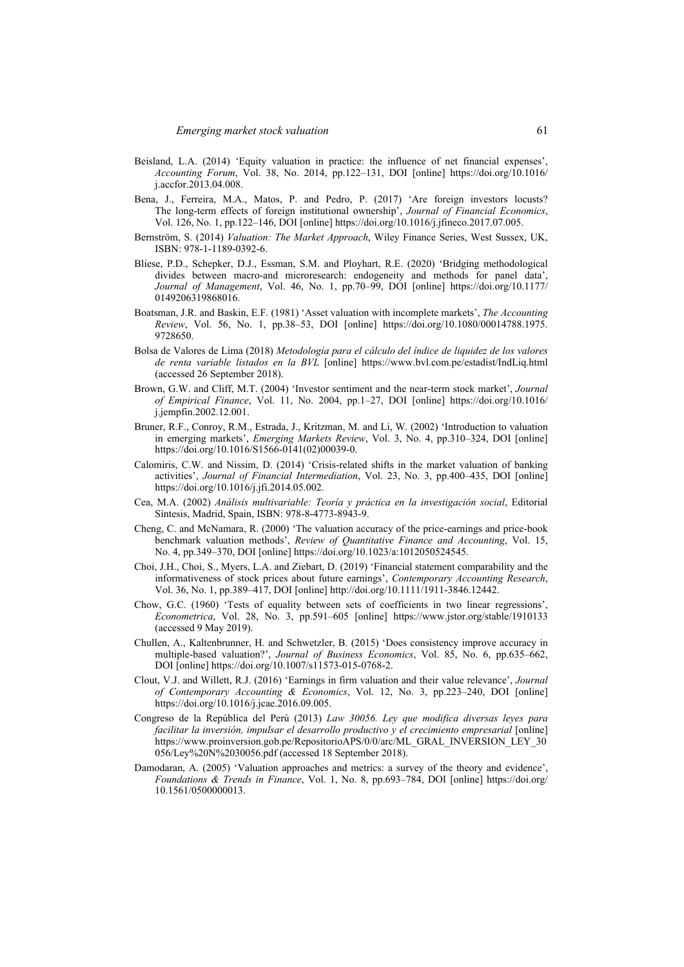- Beisland, L.A. (2014) 'Equity valuation in practice: the influence of net financial expenses', *Accounting Forum*, Vol. 38, No. 2014, pp.122–131, DOI [online] https://doi.org/10.1016/ j.accfor.2013.04.008.
- Bena, J., Ferreira, M.A., Matos, P. and Pedro, P. (2017) 'Are foreign investors locusts? The long-term effects of foreign institutional ownership', *Journal of Financial Economics*, Vol. 126, No. 1, pp.122–146, DOI [online] https://doi.org/10.1016/j.jfineco.2017.07.005.
- Bernström, S. (2014) *Valuation: The Market Approach*, Wiley Finance Series, West Sussex, UK, ISBN: 978-1-1189-0392-6.
- Bliese, P.D., Schepker, D.J., Essman, S.M. and Ployhart, R.E. (2020) 'Bridging methodological divides between macro-and microresearch: endogeneity and methods for panel data', *Journal of Management*, Vol. 46, No. 1, pp.70–99, DOI [online] https://doi.org/10.1177/ 0149206319868016.
- Boatsman, J.R. and Baskin, E.F. (1981) 'Asset valuation with incomplete markets', *The Accounting Review*, Vol. 56, No. 1, pp.38–53, DOI [online] https://doi.org/10.1080/00014788.1975. 9728650.
- Bolsa de Valores de Lima (2018) *Metodología para el cálculo del índice de liquidez de los valores de renta variable listados en la BVL* [online] https://www.bvl.com.pe/estadist/IndLiq.html (accessed 26 September 2018).
- Brown, G.W. and Cliff, M.T. (2004) 'Investor sentiment and the near-term stock market', *Journal of Empirical Finance*, Vol. 11, No. 2004, pp.1–27, DOI [online] https://doi.org/10.1016/ j.jempfin.2002.12.001.
- Bruner, R.F., Conroy, R.M., Estrada, J., Kritzman, M. and Li, W. (2002) 'Introduction to valuation in emerging markets', *Emerging Markets Review*, Vol. 3, No. 4, pp.310–324, DOI [online] https://doi.org/10.1016/S1566-0141(02)00039-0.
- Calomiris, C.W. and Nissim, D. (2014) 'Crisis-related shifts in the market valuation of banking activities', *Journal of Financial Intermediation*, Vol. 23, No. 3, pp.400–435, DOI [online] https://doi.org/10.1016/j.jfi.2014.05.002.
- Cea, M.A. (2002) *Análisis multivariable: Teoría y práctica en la investigación social*, Editorial Síntesis, Madrid, Spain, ISBN: 978-8-4773-8943-9.
- Cheng, C. and McNamara, R. (2000) 'The valuation accuracy of the price-earnings and price-book benchmark valuation methods', *Review of Quantitative Finance and Accounting*, Vol. 15, No. 4, pp.349–370, DOI [online] https://doi.org/10.1023/a:1012050524545.
- Choi, J.H., Choi, S., Myers, L.A. and Ziebart, D. (2019) 'Financial statement comparability and the informativeness of stock prices about future earnings', *Contemporary Accounting Research*, Vol. 36, No. 1, pp.389–417, DOI [online] http://doi.org/10.1111/1911-3846.12442.
- Chow, G.C. (1960) 'Tests of equality between sets of coefficients in two linear regressions', *Econometrica*, Vol. 28, No. 3, pp.591–605 [online] https://www.jstor.org/stable/1910133 (accessed 9 May 2019).
- Chullen, A., Kaltenbrunner, H. and Schwetzler, B. (2015) 'Does consistency improve accuracy in multiple-based valuation?', *Journal of Business Economics*, Vol. 85, No. 6, pp.635–662, DOI [online] https://doi.org/10.1007/s11573-015-0768-2.
- Clout, V.J. and Willett, R.J. (2016) 'Earnings in firm valuation and their value relevance', *Journal of Contemporary Accounting & Economics*, Vol. 12, No. 3, pp.223–240, DOI [online] https://doi.org/10.1016/j.jcae.2016.09.005.
- Congreso de la República del Perú (2013) *Law 30056. Ley que modifica diversas leyes para facilitar la inversión, impulsar el desarrollo productivo y el crecimiento empresarial* [online] https://www.proinversion.gob.pe/RepositorioAPS/0/0/arc/ML\_GRAL\_INVERSION\_LEY\_30 056/Ley%20N%2030056.pdf (accessed 18 September 2018).
- Damodaran, A. (2005) 'Valuation approaches and metrics: a survey of the theory and evidence', *Foundations & Trends in Finance*, Vol. 1, No. 8, pp.693–784, DOI [online] https://doi.org/ 10.1561/0500000013.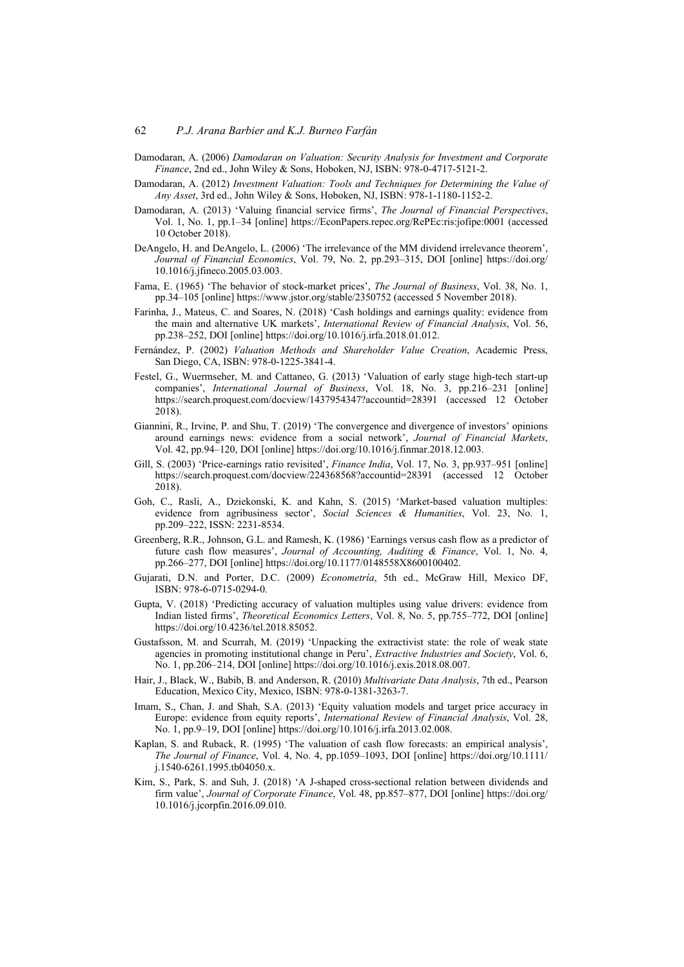- Damodaran, A. (2006) *Damodaran on Valuation: Security Analysis for Investment and Corporate Finance*, 2nd ed., John Wiley & Sons, Hoboken, NJ, ISBN: 978-0-4717-5121-2.
- Damodaran, A. (2012) *Investment Valuation: Tools and Techniques for Determining the Value of Any Asset*, 3rd ed., John Wiley & Sons, Hoboken, NJ, ISBN: 978-1-1180-1152-2.
- Damodaran, A. (2013) 'Valuing financial service firms', *The Journal of Financial Perspectives*, Vol. 1, No. 1, pp.1–34 [online] https://EconPapers.repec.org/RePEc:ris:jofipe:0001 (accessed 10 October 2018).
- DeAngelo, H. and DeAngelo, L. (2006) 'The irrelevance of the MM dividend irrelevance theorem', *Journal of Financial Economics*, Vol. 79, No. 2, pp.293–315, DOI [online] https://doi.org/ 10.1016/j.jfineco.2005.03.003.
- Fama, E. (1965) 'The behavior of stock-market prices', *The Journal of Business*, Vol. 38, No. 1, pp.34–105 [online] https://www.jstor.org/stable/2350752 (accessed 5 November 2018).
- Farinha, J., Mateus, C. and Soares, N. (2018) 'Cash holdings and earnings quality: evidence from the main and alternative UK markets', *International Review of Financial Analysis*, Vol. 56, pp.238–252, DOI [online] https://doi.org/10.1016/j.irfa.2018.01.012.
- Fernández, P. (2002) *Valuation Methods and Shareholder Value Creation*, Academic Press, San Diego, CA, ISBN: 978-0-1225-3841-4.
- Festel, G., Wuermseher, M. and Cattaneo, G. (2013) 'Valuation of early stage high-tech start-up companies', *International Journal of Business*, Vol. 18, No. 3, pp.216–231 [online] https://search.proquest.com/docview/1437954347?accountid=28391 (accessed 12 October 2018).
- Giannini, R., Irvine, P. and Shu, T. (2019) 'The convergence and divergence of investors' opinions around earnings news: evidence from a social network', *Journal of Financial Markets*, Vol. 42, pp.94–120, DOI [online] https://doi.org/10.1016/j.finmar.2018.12.003.
- Gill, S. (2003) 'Price-earnings ratio revisited', *Finance India*, Vol. 17, No. 3, pp.937–951 [online] https://search.proquest.com/docview/224368568?accountid=28391 (accessed 12 October 2018).
- Goh, C., Rasli, A., Dziekonski, K. and Kahn, S. (2015) 'Market-based valuation multiples: evidence from agribusiness sector', *Social Sciences & Humanities*, Vol. 23, No. 1, pp.209–222, ISSN: 2231-8534.
- Greenberg, R.R., Johnson, G.L. and Ramesh, K. (1986) 'Earnings versus cash flow as a predictor of future cash flow measures', *Journal of Accounting, Auditing & Finance*, Vol. 1, No. 4, pp.266–277, DOI [online] https://doi.org/10.1177/0148558X8600100402.
- Gujarati, D.N. and Porter, D.C. (2009) *Econometría*, 5th ed., McGraw Hill, Mexico DF, ISBN: 978-6-0715-0294-0.
- Gupta, V. (2018) 'Predicting accuracy of valuation multiples using value drivers: evidence from Indian listed firms', *Theoretical Economics Letters*, Vol. 8, No. 5, pp.755–772, DOI [online] https://doi.org/10.4236/tel.2018.85052.
- Gustafsson, M. and Scurrah, M. (2019) 'Unpacking the extractivist state: the role of weak state agencies in promoting institutional change in Peru', *Extractive Industries and Society*, Vol. 6, No. 1, pp.206–214, DOI [online] https://doi.org/10.1016/j.exis.2018.08.007.
- Hair, J., Black, W., Babib, B. and Anderson, R. (2010) *Multivariate Data Analysis*, 7th ed., Pearson Education, Mexico City, Mexico, ISBN: 978-0-1381-3263-7.
- Imam, S., Chan, J. and Shah, S.A. (2013) 'Equity valuation models and target price accuracy in Europe: evidence from equity reports', *International Review of Financial Analysis*, Vol. 28, No. 1, pp.9–19, DOI [online] https://doi.org/10.1016/j.irfa.2013.02.008.
- Kaplan, S. and Ruback, R. (1995) 'The valuation of cash flow forecasts: an empirical analysis', *The Journal of Finance*, Vol. 4, No. 4, pp.1059–1093, DOI [online] https://doi.org/10.1111/ j.1540-6261.1995.tb04050.x.
- Kim, S., Park, S. and Suh, J. (2018) 'A J-shaped cross-sectional relation between dividends and firm value', *Journal of Corporate Finance*, Vol. 48, pp.857–877, DOI [online] https://doi.org/ 10.1016/j.jcorpfin.2016.09.010.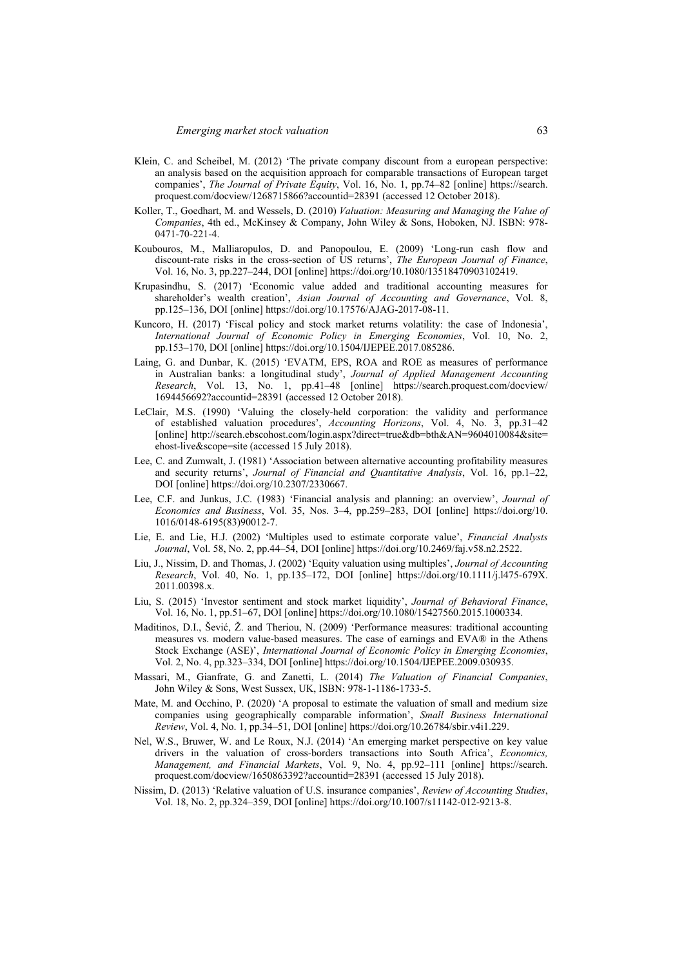- Klein, C. and Scheibel, M. (2012) 'The private company discount from a european perspective: an analysis based on the acquisition approach for comparable transactions of European target companies', *The Journal of Private Equity*, Vol. 16, No. 1, pp.74–82 [online] https://search. proquest.com/docview/1268715866?accountid=28391 (accessed 12 October 2018).
- Koller, T., Goedhart, M. and Wessels, D. (2010) *Valuation: Measuring and Managing the Value of Companies*, 4th ed., McKinsey & Company, John Wiley & Sons, Hoboken, NJ. ISBN: 978- 0471-70-221-4.
- Koubouros, M., Malliaropulos, D. and Panopoulou, E. (2009) 'Long-run cash flow and discount-rate risks in the cross-section of US returns', *The European Journal of Finance*, Vol. 16, No. 3, pp.227–244, DOI [online] https://doi.org/10.1080/13518470903102419.
- Krupasindhu, S. (2017) 'Economic value added and traditional accounting measures for shareholder's wealth creation', *Asian Journal of Accounting and Governance*, Vol. 8, pp.125–136, DOI [online] https://doi.org/10.17576/AJAG-2017-08-11.
- Kuncoro, H. (2017) 'Fiscal policy and stock market returns volatility: the case of Indonesia', *International Journal of Economic Policy in Emerging Economies*, Vol. 10, No. 2, pp.153–170, DOI [online] https://doi.org/10.1504/IJEPEE.2017.085286.
- Laing, G. and Dunbar, K. (2015) 'EVATM, EPS, ROA and ROE as measures of performance in Australian banks: a longitudinal study', *Journal of Applied Management Accounting Research*, Vol. 13, No. 1, pp.41–48 [online] https://search.proquest.com/docview/ 1694456692?accountid=28391 (accessed 12 October 2018).
- LeClair, M.S. (1990) 'Valuing the closely-held corporation: the validity and performance of established valuation procedures', *Accounting Horizons*, Vol. 4, No. 3, pp.31–42 [online] http://search.ebscohost.com/login.aspx?direct=true&db=bth&AN=9604010084&site= ehost-live&scope=site (accessed 15 July 2018).
- Lee, C. and Zumwalt, J. (1981) 'Association between alternative accounting profitability measures and security returns', *Journal of Financial and Quantitative Analysis*, Vol. 16, pp.1–22, DOI [online] https://doi.org/10.2307/2330667.
- Lee, C.F. and Junkus, J.C. (1983) 'Financial analysis and planning: an overview', *Journal of Economics and Business*, Vol. 35, Nos. 3–4, pp.259–283, DOI [online] https://doi.org/10. 1016/0148-6195(83)90012-7.
- Lie, E. and Lie, H.J. (2002) 'Multiples used to estimate corporate value', *Financial Analysts Journal*, Vol. 58, No. 2, pp.44–54, DOI [online] https://doi.org/10.2469/faj.v58.n2.2522.
- Liu, J., Nissim, D. and Thomas, J. (2002) 'Equity valuation using multiples', *Journal of Accounting Research*, Vol. 40, No. 1, pp.135–172, DOI [online] https://doi.org/10.1111/j.l475-679X. 2011.00398.x.
- Liu, S. (2015) 'Investor sentiment and stock market liquidity', *Journal of Behavioral Finance*, Vol. 16, No. 1, pp.51–67, DOI [online] https://doi.org/10.1080/15427560.2015.1000334.
- Maditinos, D.I., Šević, Ž. and Theriou, N. (2009) 'Performance measures: traditional accounting measures vs. modern value-based measures. The case of earnings and EVA® in the Athens Stock Exchange (ASE)', *International Journal of Economic Policy in Emerging Economies*, Vol. 2, No. 4, pp.323–334, DOI [online] https://doi.org/10.1504/IJEPEE.2009.030935.
- Massari, M., Gianfrate, G. and Zanetti, L. (2014) *The Valuation of Financial Companies*, John Wiley & Sons, West Sussex, UK, ISBN: 978-1-1186-1733-5.
- Mate, M. and Occhino, P. (2020) 'A proposal to estimate the valuation of small and medium size companies using geographically comparable information', *Small Business International Review*, Vol. 4, No. 1, pp.34–51, DOI [online] https://doi.org/10.26784/sbir.v4i1.229.
- Nel, W.S., Bruwer, W. and Le Roux, N.J. (2014) 'An emerging market perspective on key value drivers in the valuation of cross-borders transactions into South Africa', *Economics, Management, and Financial Markets*, Vol. 9, No. 4, pp.92–111 [online] https://search. proquest.com/docview/1650863392?accountid=28391 (accessed 15 July 2018).
- Nissim, D. (2013) 'Relative valuation of U.S. insurance companies', *Review of Accounting Studies*, Vol. 18, No. 2, pp.324–359, DOI [online] https://doi.org/10.1007/s11142-012-9213-8.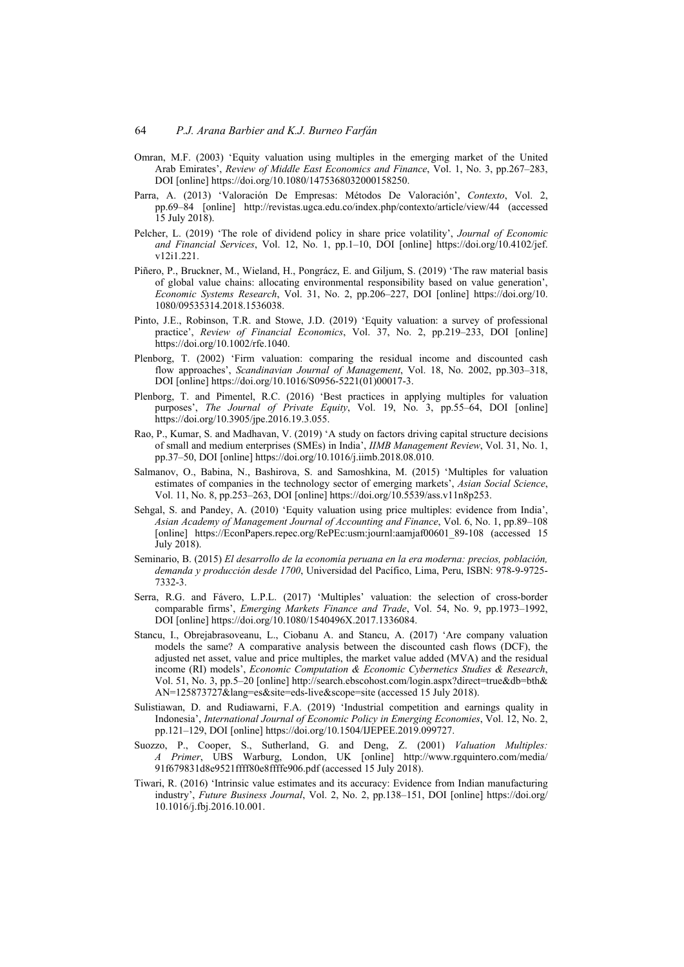- Omran, M.F. (2003) 'Equity valuation using multiples in the emerging market of the United Arab Emirates', *Review of Middle East Economics and Finance*, Vol. 1, No. 3, pp.267–283, DOI [online] https://doi.org/10.1080/1475368032000158250.
- Parra, A. (2013) 'Valoración De Empresas: Métodos De Valoración', *Contexto*, Vol. 2, pp.69–84 [online] http://revistas.ugca.edu.co/index.php/contexto/article/view/44 (accessed 15 July 2018).
- Pelcher, L. (2019) 'The role of dividend policy in share price volatility', *Journal of Economic and Financial Services*, Vol. 12, No. 1, pp.1–10, DOI [online] https://doi.org/10.4102/jef. v12i1.221.
- Piñero, P., Bruckner, M., Wieland, H., Pongrácz, E. and Giljum, S. (2019) 'The raw material basis of global value chains: allocating environmental responsibility based on value generation', *Economic Systems Research*, Vol. 31, No. 2, pp.206–227, DOI [online] https://doi.org/10. 1080/09535314.2018.1536038.
- Pinto, J.E., Robinson, T.R. and Stowe, J.D. (2019) 'Equity valuation: a survey of professional practice', *Review of Financial Economics*, Vol. 37, No. 2, pp.219–233, DOI [online] https://doi.org/10.1002/rfe.1040.
- Plenborg, T. (2002) 'Firm valuation: comparing the residual income and discounted cash flow approaches', *Scandinavian Journal of Management*, Vol. 18, No. 2002, pp.303–318, DOI [online] https://doi.org/10.1016/S0956-5221(01)00017-3.
- Plenborg, T. and Pimentel, R.C. (2016) 'Best practices in applying multiples for valuation purposes', *The Journal of Private Equity*, Vol. 19, No. 3, pp.55–64, DOI [online] https://doi.org/10.3905/jpe.2016.19.3.055.
- Rao, P., Kumar, S. and Madhavan, V. (2019) 'A study on factors driving capital structure decisions of small and medium enterprises (SMEs) in India', *IIMB Management Review*, Vol. 31, No. 1, pp.37–50, DOI [online] https://doi.org/10.1016/j.iimb.2018.08.010.
- Salmanov, O., Babina, N., Bashirova, S. and Samoshkina, M. (2015) 'Multiples for valuation estimates of companies in the technology sector of emerging markets', *Asian Social Science*, Vol. 11, No. 8, pp.253–263, DOI [online] https://doi.org/10.5539/ass.v11n8p253.
- Sehgal, S. and Pandey, A. (2010) 'Equity valuation using price multiples: evidence from India', *Asian Academy of Management Journal of Accounting and Finance*, Vol. 6, No. 1, pp.89–108 [online] https://EconPapers.repec.org/RePEc:usm:journl:aamjaf00601 89-108 (accessed 15 July 2018).
- Seminario, B. (2015) *El desarrollo de la economía peruana en la era moderna: precios, población, demanda y producción desde 1700*, Universidad del Pacífico, Lima, Peru, ISBN: 978-9-9725- 7332-3.
- Serra, R.G. and Fávero, L.P.L. (2017) 'Multiples' valuation: the selection of cross-border comparable firms', *Emerging Markets Finance and Trade*, Vol. 54, No. 9, pp.1973–1992, DOI [online] https://doi.org/10.1080/1540496X.2017.1336084.
- Stancu, I., Obrejabrasoveanu, L., Ciobanu A. and Stancu, A. (2017) 'Are company valuation models the same? A comparative analysis between the discounted cash flows (DCF), the adjusted net asset, value and price multiples, the market value added (MVA) and the residual income (RI) models', *Economic Computation & Economic Cybernetics Studies & Research*, Vol. 51, No. 3, pp.5–20 [online] http://search.ebscohost.com/login.aspx?direct=true&db=bth& AN=125873727&lang=es&site=eds-live&scope=site (accessed 15 July 2018).
- Sulistiawan, D. and Rudiawarni, F.A. (2019) 'Industrial competition and earnings quality in Indonesia', *International Journal of Economic Policy in Emerging Economies*, Vol. 12, No. 2, pp.121–129, DOI [online] https://doi.org/10.1504/IJEPEE.2019.099727.
- Suozzo, P., Cooper, S., Sutherland, G. and Deng, Z. (2001) *Valuation Multiples: A Primer*, UBS Warburg, London, UK [online] http://www.rgquintero.com/media/ 91f679831d8e9521ffff80e8ffffe906.pdf (accessed 15 July 2018).
- Tiwari, R. (2016) 'Intrinsic value estimates and its accuracy: Evidence from Indian manufacturing industry', *Future Business Journal*, Vol. 2, No. 2, pp.138–151, DOI [online] https://doi.org/ 10.1016/j.fbj.2016.10.001.